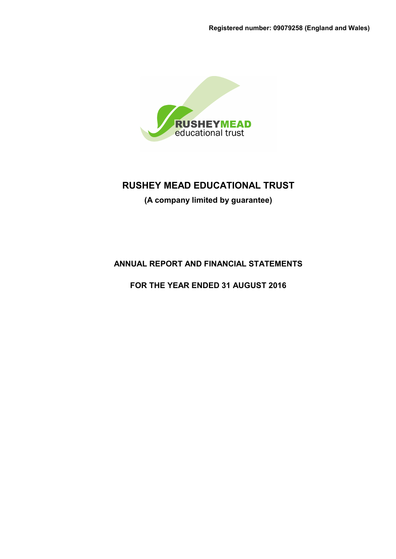

**(A company limited by guarantee)**

**ANNUAL REPORT AND FINANCIAL STATEMENTS**

**FOR THE YEAR ENDED 31 AUGUST 2016**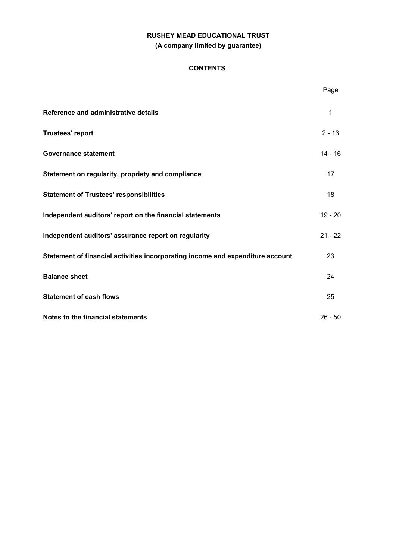# **RUSHEY MEAD EDUCATIONAL TRUST (A company limited by guarantee)**

### **CONTENTS**

|                                                                                | Page      |
|--------------------------------------------------------------------------------|-----------|
| Reference and administrative details                                           | 1         |
| <b>Trustees' report</b>                                                        | $2 - 13$  |
| <b>Governance statement</b>                                                    | $14 - 16$ |
| Statement on regularity, propriety and compliance                              | 17        |
| <b>Statement of Trustees' responsibilities</b>                                 | 18        |
| Independent auditors' report on the financial statements                       | $19 - 20$ |
| Independent auditors' assurance report on regularity                           | $21 - 22$ |
| Statement of financial activities incorporating income and expenditure account | 23        |
| <b>Balance sheet</b>                                                           | 24        |
| <b>Statement of cash flows</b>                                                 | 25        |
| Notes to the financial statements                                              | $26 - 50$ |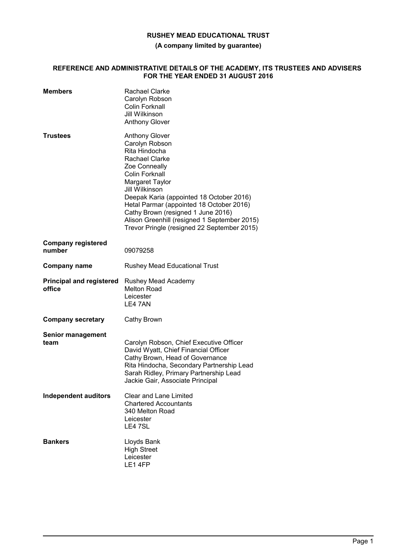**(A company limited by guarantee)**

#### **REFERENCE AND ADMINISTRATIVE DETAILS OF THE ACADEMY, ITS TRUSTEES AND ADVISERS FOR THE YEAR ENDED 31 AUGUST 2016**

| <b>Members</b>                            | <b>Rachael Clarke</b><br>Carolyn Robson<br><b>Colin Forknall</b><br>Jill Wilkinson<br><b>Anthony Glover</b>                                                                                                                                                                                                                                                                     |
|-------------------------------------------|---------------------------------------------------------------------------------------------------------------------------------------------------------------------------------------------------------------------------------------------------------------------------------------------------------------------------------------------------------------------------------|
| Trustees                                  | <b>Anthony Glover</b><br>Carolyn Robson<br>Rita Hindocha<br>Rachael Clarke<br>Zoe Conneally<br>Colin Forknall<br>Margaret Taylor<br>Jill Wilkinson<br>Deepak Karia (appointed 18 October 2016)<br>Hetal Parmar (appointed 18 October 2016)<br>Cathy Brown (resigned 1 June 2016)<br>Alison Greenhill (resigned 1 September 2015)<br>Trevor Pringle (resigned 22 September 2015) |
| <b>Company registered</b><br>number       | 09079258                                                                                                                                                                                                                                                                                                                                                                        |
| <b>Company name</b>                       | <b>Rushey Mead Educational Trust</b>                                                                                                                                                                                                                                                                                                                                            |
| <b>Principal and registered</b><br>office | Rushey Mead Academy<br><b>Melton Road</b><br>Leicester<br>LE4 7AN                                                                                                                                                                                                                                                                                                               |
| <b>Company secretary</b>                  | Cathy Brown                                                                                                                                                                                                                                                                                                                                                                     |
| <b>Senior management</b><br>team          | Carolyn Robson, Chief Executive Officer<br>David Wyatt, Chief Financial Officer<br>Cathy Brown, Head of Governance<br>Rita Hindocha, Secondary Partnership Lead<br>Sarah Ridley, Primary Partnership Lead<br>Jackie Gair, Associate Principal                                                                                                                                   |
| <b>Independent auditors</b>               | <b>Clear and Lane Limited</b><br><b>Chartered Accountants</b><br>340 Melton Road<br>Leicester<br>LE4 7SL                                                                                                                                                                                                                                                                        |
| <b>Bankers</b>                            | Lloyds Bank<br><b>High Street</b><br>Leicester<br>LE1 4FP                                                                                                                                                                                                                                                                                                                       |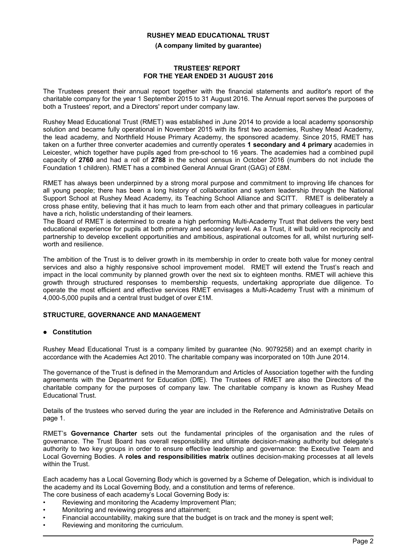**(A company limited by guarantee)**

#### **TRUSTEES' REPORT FOR THE YEAR ENDED 31 AUGUST 2016**

The Trustees present their annual report together with the financial statements and auditor's report of the charitable company for the year 1 September 2015 to 31 August 2016. The Annual report serves the purposes of both a Trustees' report, and a Directors' report under company law.

Rushey Mead Educational Trust (RMET) was established in June 2014 to provide a local academy sponsorship solution and became fully operational in November 2015 with its first two academies, Rushey Mead Academy, the lead academy, and Northfield House Primary Academy, the sponsored academy. Since 2015, RMET has taken on a further three converter academies and currently operates **1 secondary and 4 primary** academies in Leicester, which together have pupils aged from pre-school to 16 years. The academies had a combined pupil capacity of **2760** and had a roll of **2788** in the school census in October 2016 (numbers do not include the Foundation 1 children). RMET has a combined General Annual Grant (GAG) of £8M.

RMET has always been underpinned by a strong moral purpose and commitment to improving life chances for all young people; there has been a long history of collaboration and system leadership through the National Support School at Rushey Mead Academy, its Teaching School Alliance and SCITT. RMET is deliberately a cross phase entity, believing that it has much to learn from each other and that primary colleagues in particular have a rich, holistic understanding of their learners.

The Board of RMET is determined to create a high performing Multi-Academy Trust that delivers the very best educational experience for pupils at both primary and secondary level. As a Trust, it will build on reciprocity and partnership to develop excellent opportunities and ambitious, aspirational outcomes for all, whilst nurturing selfworth and resilience.

The ambition of the Trust is to deliver growth in its membership in order to create both value for money central services and also a highly responsive school improvement model. RMET will extend the Trust's reach and impact in the local community by planned growth over the next six to eighteen months. RMET will achieve this growth through structured responses to membership requests, undertaking appropriate due diligence. To operate the most efficient and effective services RMET envisages a Multi-Academy Trust with a minimum of 4,000-5,000 pupils and a central trust budget of over £1M.

### **STRUCTURE, GOVERNANCE AND MANAGEMENT**

### **Constitution**

Rushey Mead Educational Trust is a company limited by guarantee (No. 9079258) and an exempt charity in accordance with the Academies Act 2010. The charitable company was incorporated on 10th June 2014.

The governance of the Trust is defined in the Memorandum and Articles of Association together with the funding agreements with the Department for Education (DfE). The Trustees of RMET are also the Directors of the charitable company for the purposes of company law. The charitable company is known as Rushey Mead Educational Trust.

Details of the trustees who served during the year are included in the Reference and Administrative Details on page 1.

RMET's **Governance Charter** sets out the fundamental principles of the organisation and the rules of governance. The Trust Board has overall responsibility and ultimate decision-making authority but delegate's authority to two key groups in order to ensure effective leadership and governance: the Executive Team and Local Governing Bodies. A **roles and responsibilities matrix** outlines decision-making processes at all levels within the Trust.

Each academy has a Local Governing Body which is governed by a Scheme of Delegation, which is individual to the academy and its Local Governing Body, and a constitution and terms of reference.

The core business of each academy's Local Governing Body is:

- Reviewing and monitoring the Academy Improvement Plan;
- Monitoring and reviewing progress and attainment;
- Financial accountability, making sure that the budget is on track and the money is spent well;
- Reviewing and monitoring the curriculum.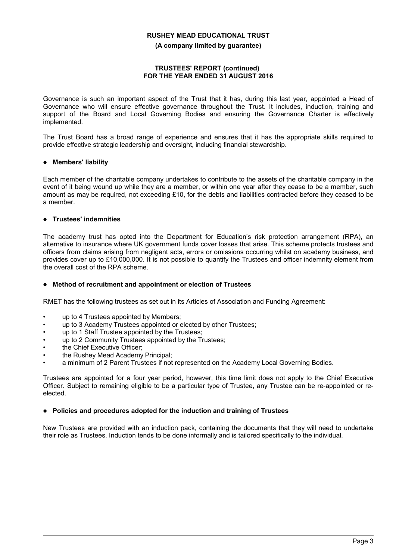#### **(A company limited by guarantee)**

#### **TRUSTEES' REPORT (continued) FOR THE YEAR ENDED 31 AUGUST 2016**

Governance is such an important aspect of the Trust that it has, during this last year, appointed a Head of Governance who will ensure effective governance throughout the Trust. It includes, induction, training and support of the Board and Local Governing Bodies and ensuring the Governance Charter is effectively implemented.

The Trust Board has a broad range of experience and ensures that it has the appropriate skills required to provide effective strategic leadership and oversight, including financial stewardship.

### **Members' liability**

Each member of the charitable company undertakes to contribute to the assets of the charitable company in the event of it being wound up while they are a member, or within one year after they cease to be a member, such amount as may be required, not exceeding £10, for the debts and liabilities contracted before they ceased to be a member.

## **Trustees' indemnities**

The academy trust has opted into the Department for Education's risk protection arrangement (RPA), an alternative to insurance where UK government funds cover losses that arise. This scheme protects trustees and officers from claims arising from negligent acts, errors or omissions occurring whilst on academy business, and provides cover up to £10,000,000. It is not possible to quantify the Trustees and officer indemnity element from the overall cost of the RPA scheme.

### **Method of recruitment and appointment or election of Trustees**

RMET has the following trustees as set out in its Articles of Association and Funding Agreement:

- up to 4 Trustees appointed by Members;
- up to 3 Academy Trustees appointed or elected by other Trustees;
- up to 1 Staff Trustee appointed by the Trustees:
- up to 2 Community Trustees appointed by the Trustees;
- the Chief Executive Officer;
- the Rushey Mead Academy Principal;
- a minimum of 2 Parent Trustees if not represented on the Academy Local Governing Bodies.

Trustees are appointed for a four year period, however, this time limit does not apply to the Chief Executive Officer. Subject to remaining eligible to be a particular type of Trustee, any Trustee can be re-appointed or reelected.

### **Policies and procedures adopted for the induction and training of Trustees**

New Trustees are provided with an induction pack, containing the documents that they will need to undertake their role as Trustees. Induction tends to be done informally and is tailored specifically to the individual.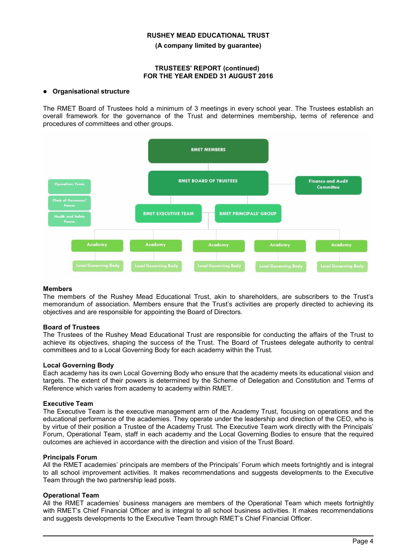**(A company limited by guarantee)**

#### **TRUSTEES' REPORT (continued) FOR THE YEAR ENDED 31 AUGUST 2016**

#### **Organisational structure**

The RMET Board of Trustees hold a minimum of 3 meetings in every school year. The Trustees establish an overall framework for the governance of the Trust and determines membership, terms of reference and procedures of committees and other groups.



### **Members**

The members of the Rushey Mead Educational Trust, akin to shareholders, are subscribers to the Trust's memorandum of association. Members ensure that the Trust's activities are properly directed to achieving its objectives and are responsible for appointing the Board of Directors.

#### **Board of Trustees**

The Trustees of the Rushey Mead Educational Trust are responsible for conducting the affairs of the Trust to achieve its objectives, shaping the success of the Trust. The Board of Trustees delegate authority to central committees and to a Local Governing Body for each academy within the Trust.

#### **Local Governing Body**

Each academy has its own Local Governing Body who ensure that the academy meets its educational vision and targets. The extent of their powers is determined by the Scheme of Delegation and Constitution and Terms of Reference which varies from academy to academy within RMET.

#### **Executive Team**

The Executive Team is the executive management arm of the Academy Trust, focusing on operations and the educational performance of the academies. They operate under the leadership and direction of the CEO, who is by virtue of their position a Trustee of the Academy Trust. The Executive Team work directly with the Principals' Forum, Operational Team, staff in each academy and the Local Governing Bodies to ensure that the required outcomes are achieved in accordance with the direction and vision of the Trust Board.

#### **Principals Forum**

All the RMET academies' principals are members of the Principals' Forum which meets fortnightly and is integral to all school improvement activities. It makes recommendations and suggests developments to the Executive Team through the two partnership lead posts.

#### **Operational Team**

All the RMET academies' business managers are members of the Operational Team which meets fortnightly with RMET's Chief Financial Officer and is integral to all school business activities. It makes recommendations and suggests developments to the Executive Team through RMET's Chief Financial Officer.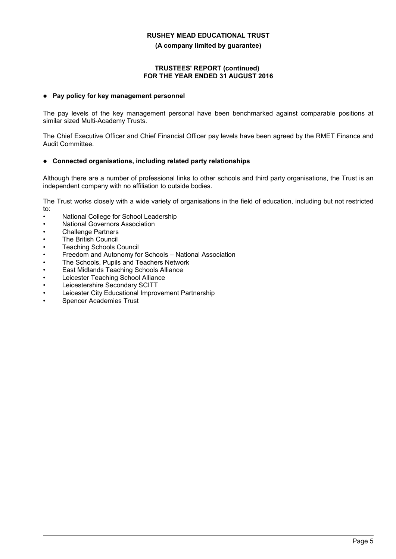**(A company limited by guarantee)**

### **TRUSTEES' REPORT (continued) FOR THE YEAR ENDED 31 AUGUST 2016**

### **Pay policy for key management personnel**

The pay levels of the key management personal have been benchmarked against comparable positions at similar sized Multi-Academy Trusts.

The Chief Executive Officer and Chief Financial Officer pay levels have been agreed by the RMET Finance and Audit Committee.

### **Connected organisations, including related party relationships**

Although there are a number of professional links to other schools and third party organisations, the Trust is an independent company with no affiliation to outside bodies.

The Trust works closely with a wide variety of organisations in the field of education, including but not restricted to:

- National College for School Leadership
- National Governors Association
- Challenge Partners
- The British Council
- Teaching Schools Council
- Freedom and Autonomy for Schools National Association
- The Schools, Pupils and Teachers Network
- East Midlands Teaching Schools Alliance
- Leicester Teaching School Alliance
- Leicestershire Secondary SCITT
- Leicester City Educational Improvement Partnership
- Spencer Academies Trust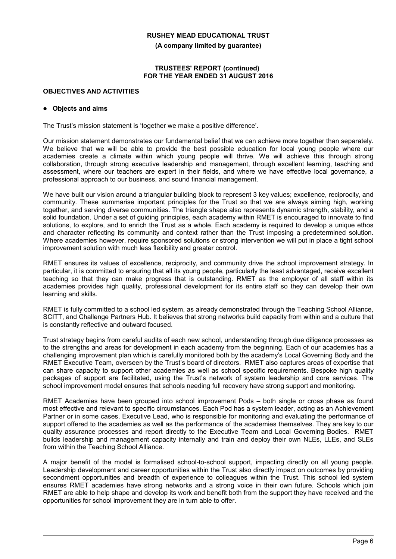**(A company limited by guarantee)**

#### **TRUSTEES' REPORT (continued) FOR THE YEAR ENDED 31 AUGUST 2016**

### **OBJECTIVES AND ACTIVITIES**

#### **Objects and aims**

The Trust's mission statement is 'together we make a positive difference'.

Our mission statement demonstrates our fundamental belief that we can achieve more together than separately. We believe that we will be able to provide the best possible education for local young people where our academies create a climate within which young people will thrive. We will achieve this through strong collaboration, through strong executive leadership and management, through excellent learning, teaching and assessment, where our teachers are expert in their fields, and where we have effective local governance, a professional approach to our business, and sound financial management.

We have built our vision around a triangular building block to represent 3 key values; excellence, reciprocity, and community. These summarise important principles for the Trust so that we are always aiming high, working together, and serving diverse communities. The triangle shape also represents dynamic strength, stability, and a solid foundation. Under a set of guiding principles, each academy within RMET is encouraged to innovate to find solutions, to explore, and to enrich the Trust as a whole. Each academy is required to develop a unique ethos and character reflecting its community and context rather than the Trust imposing a predetermined solution. Where academies however, require sponsored solutions or strong intervention we will put in place a tight school improvement solution with much less flexibility and greater control.

RMET ensures its values of excellence, reciprocity, and community drive the school improvement strategy. In particular, it is committed to ensuring that all its young people, particularly the least advantaged, receive excellent teaching so that they can make progress that is outstanding. RMET as the employer of all staff within its academies provides high quality, professional development for its entire staff so they can develop their own learning and skills.

RMET is fully committed to a school led system, as already demonstrated through the Teaching School Alliance, SCITT, and Challenge Partners Hub. It believes that strong networks build capacity from within and a culture that is constantly reflective and outward focused.

Trust strategy begins from careful audits of each new school, understanding through due diligence processes as to the strengths and areas for development in each academy from the beginning. Each of our academies has a challenging improvement plan which is carefully monitored both by the academy's Local Governing Body and the RMET Executive Team, overseen by the Trust's board of directors. RMET also captures areas of expertise that can share capacity to support other academies as well as school specific requirements. Bespoke high quality packages of support are facilitated, using the Trust's network of system leadership and core services. The school improvement model ensures that schools needing full recovery have strong support and monitoring.

RMET Academies have been grouped into school improvement Pods – both single or cross phase as found most effective and relevant to specific circumstances. Each Pod has a system leader, acting as an Achievement Partner or in some cases, Executive Lead, who is responsible for monitoring and evaluating the performance of support offered to the academies as well as the performance of the academies themselves. They are key to our quality assurance processes and report directly to the Executive Team and Local Governing Bodies. RMET builds leadership and management capacity internally and train and deploy their own NLEs, LLEs, and SLEs from within the Teaching School Alliance.

A major benefit of the model is formalised school-to-school support, impacting directly on all young people. Leadership development and career opportunities within the Trust also directly impact on outcomes by providing secondment opportunities and breadth of experience to colleagues within the Trust. This school led system ensures RMET academies have strong networks and a strong voice in their own future. Schools which join RMET are able to help shape and develop its work and benefit both from the support they have received and the opportunities for school improvement they are in turn able to offer.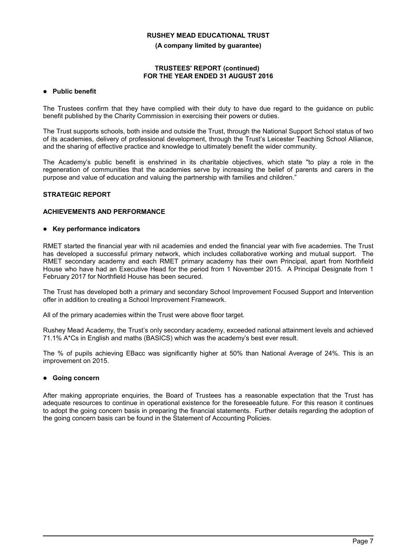**(A company limited by guarantee)**

#### **TRUSTEES' REPORT (continued) FOR THE YEAR ENDED 31 AUGUST 2016**

### **Public benefit**

The Trustees confirm that they have complied with their duty to have due regard to the guidance on public benefit published by the Charity Commission in exercising their powers or duties.

The Trust supports schools, both inside and outside the Trust, through the National Support School status of two of its academies, delivery of professional development, through the Trust's Leicester Teaching School Alliance, and the sharing of effective practice and knowledge to ultimately benefit the wider community.

The Academy's public benefit is enshrined in its charitable objectives, which state "to play a role in the regeneration of communities that the academies serve by increasing the belief of parents and carers in the purpose and value of education and valuing the partnership with families and children."

### **STRATEGIC REPORT**

## **ACHIEVEMENTS AND PERFORMANCE**

#### **Key performance indicators**

RMET started the financial year with nil academies and ended the financial year with five academies. The Trust has developed a successful primary network, which includes collaborative working and mutual support. The RMET secondary academy and each RMET primary academy has their own Principal, apart from Northfield House who have had an Executive Head for the period from 1 November 2015. A Principal Designate from 1 February 2017 for Northfield House has been secured.

The Trust has developed both a primary and secondary School Improvement Focused Support and Intervention offer in addition to creating a School Improvement Framework.

All of the primary academies within the Trust were above floor target.

Rushey Mead Academy, the Trust's only secondary academy, exceeded national attainment levels and achieved 71.1% A\*Cs in English and maths (BASICS) which was the academy's best ever result.

The % of pupils achieving EBacc was significantly higher at 50% than National Average of 24%. This is an improvement on 2015.

### **Going concern**

After making appropriate enquiries, the Board of Trustees has a reasonable expectation that the Trust has adequate resources to continue in operational existence for the foreseeable future. For this reason it continues to adopt the going concern basis in preparing the financial statements. Further details regarding the adoption of the going concern basis can be found in the Statement of Accounting Policies.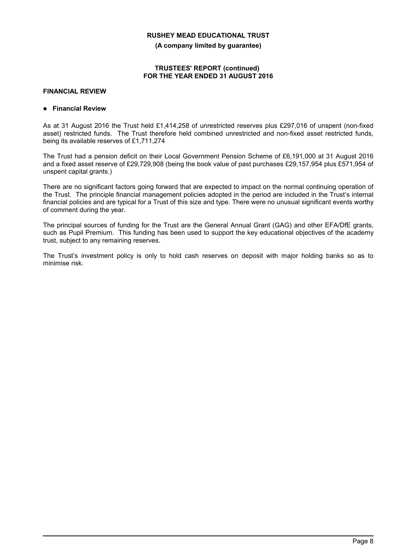**(A company limited by guarantee)**

#### **TRUSTEES' REPORT (continued) FOR THE YEAR ENDED 31 AUGUST 2016**

### **FINANCIAL REVIEW**

### **Financial Review**

As at 31 August 2016 the Trust held £1,414,258 of unrestricted reserves plus £297,016 of unspent (non-fixed asset) restricted funds. The Trust therefore held combined unrestricted and non-fixed asset restricted funds, being its available reserves of £1,711,274

The Trust had a pension deficit on their Local Government Pension Scheme of £6,191,000 at 31 August 2016 and a fixed asset reserve of £29,729,908 (being the book value of past purchases £29,157,954 plus £571,954 of unspent capital grants.)

There are no significant factors going forward that are expected to impact on the normal continuing operation of the Trust. The principle financial management policies adopted in the period are included in the Trust's internal financial policies and are typical for a Trust of this size and type. There were no unusual significant events worthy of comment during the year.

The principal sources of funding for the Trust are the General Annual Grant (GAG) and other EFA/DfE grants, such as Pupil Premium. This funding has been used to support the key educational objectives of the academy trust, subject to any remaining reserves.

The Trust's investment policy is only to hold cash reserves on deposit with major holding banks so as to minimise risk.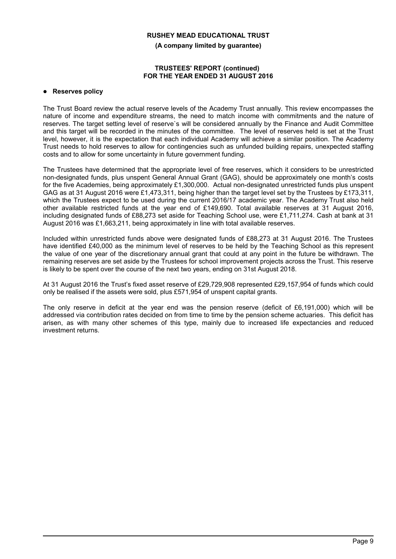**(A company limited by guarantee)**

#### **TRUSTEES' REPORT (continued) FOR THE YEAR ENDED 31 AUGUST 2016**

#### **Reserves policy**

The Trust Board review the actual reserve levels of the Academy Trust annually. This review encompasses the nature of income and expenditure streams, the need to match income with commitments and the nature of reserves. The target setting level of reserve`s will be considered annually by the Finance and Audit Committee and this target will be recorded in the minutes of the committee. The level of reserves held is set at the Trust level, however, it is the expectation that each individual Academy will achieve a similar position. The Academy Trust needs to hold reserves to allow for contingencies such as unfunded building repairs, unexpected staffing costs and to allow for some uncertainty in future government funding.

The Trustees have determined that the appropriate level of free reserves, which it considers to be unrestricted non-designated funds, plus unspent General Annual Grant (GAG), should be approximately one month's costs for the five Academies, being approximately £1,300,000. Actual non-designated unrestricted funds plus unspent GAG as at 31 August 2016 were £1,473,311, being higher than the target level set by the Trustees by £173,311, which the Trustees expect to be used during the current 2016/17 academic year. The Academy Trust also held other available restricted funds at the year end of £149,690. Total available reserves at 31 August 2016, including designated funds of £88,273 set aside for Teaching School use, were £1,711,274. Cash at bank at 31 August 2016 was £1,663,211, being approximately in line with total available reserves.

Included within unrestricted funds above were designated funds of £88,273 at 31 August 2016. The Trustees have identified £40,000 as the minimum level of reserves to be held by the Teaching School as this represent the value of one year of the discretionary annual grant that could at any point in the future be withdrawn. The remaining reserves are set aside by the Trustees for school improvement projects across the Trust. This reserve is likely to be spent over the course of the next two years, ending on 31st August 2018.

At 31 August 2016 the Trust's fixed asset reserve of £29,729,908 represented £29,157,954 of funds which could only be realised if the assets were sold, plus £571,954 of unspent capital grants.

The only reserve in deficit at the year end was the pension reserve (deficit of £6,191,000) which will be addressed via contribution rates decided on from time to time by the pension scheme actuaries. This deficit has arisen, as with many other schemes of this type, mainly due to increased life expectancies and reduced investment returns.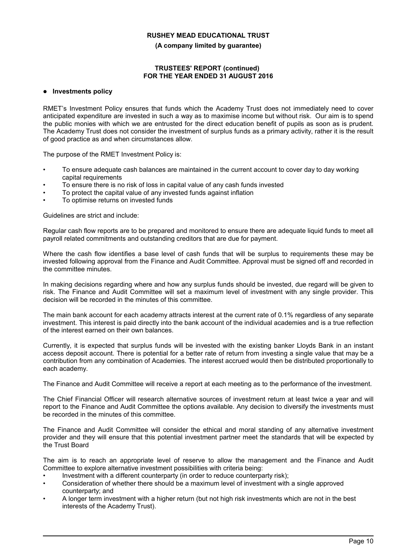**(A company limited by guarantee)**

#### **TRUSTEES' REPORT (continued) FOR THE YEAR ENDED 31 AUGUST 2016**

#### **Investments policy**

RMET's Investment Policy ensures that funds which the Academy Trust does not immediately need to cover anticipated expenditure are invested in such a way as to maximise income but without risk. Our aim is to spend the public monies with which we are entrusted for the direct education benefit of pupils as soon as is prudent. The Academy Trust does not consider the investment of surplus funds as a primary activity, rather it is the result of good practice as and when circumstances allow.

The purpose of the RMET Investment Policy is:

- To ensure adequate cash balances are maintained in the current account to cover day to day working capital requirements
- To ensure there is no risk of loss in capital value of any cash funds invested
- To protect the capital value of any invested funds against inflation
- To optimise returns on invested funds

Guidelines are strict and include:

Regular cash flow reports are to be prepared and monitored to ensure there are adequate liquid funds to meet all payroll related commitments and outstanding creditors that are due for payment.

Where the cash flow identifies a base level of cash funds that will be surplus to requirements these may be invested following approval from the Finance and Audit Committee. Approval must be signed off and recorded in the committee minutes.

In making decisions regarding where and how any surplus funds should be invested, due regard will be given to risk. The Finance and Audit Committee will set a maximum level of investment with any single provider. This decision will be recorded in the minutes of this committee.

The main bank account for each academy attracts interest at the current rate of 0.1% regardless of any separate investment. This interest is paid directly into the bank account of the individual academies and is a true reflection of the interest earned on their own balances.

Currently, it is expected that surplus funds will be invested with the existing banker Lloyds Bank in an instant access deposit account. There is potential for a better rate of return from investing a single value that may be a contribution from any combination of Academies. The interest accrued would then be distributed proportionally to each academy.

The Finance and Audit Committee will receive a report at each meeting as to the performance of the investment.

The Chief Financial Officer will research alternative sources of investment return at least twice a year and will report to the Finance and Audit Committee the options available. Any decision to diversify the investments must be recorded in the minutes of this committee.

The Finance and Audit Committee will consider the ethical and moral standing of any alternative investment provider and they will ensure that this potential investment partner meet the standards that will be expected by the Trust Board

The aim is to reach an appropriate level of reserve to allow the management and the Finance and Audit Committee to explore alternative investment possibilities with criteria being:

- Investment with a different counterparty (in order to reduce counterparty risk);
- Consideration of whether there should be a maximum level of investment with a single approved counterparty; and
- A longer term investment with a higher return (but not high risk investments which are not in the best interests of the Academy Trust).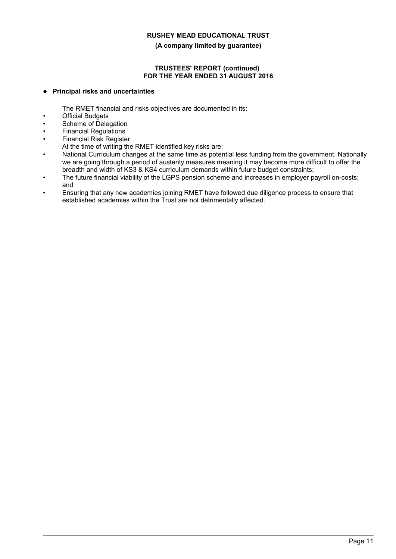#### **(A company limited by guarantee)**

### **TRUSTEES' REPORT (continued) FOR THE YEAR ENDED 31 AUGUST 2016**

### **Principal risks and uncertainties**

The RMET financial and risks objectives are documented in its:

- **Official Budgets**
- Scheme of Delegation
- Financial Regulations
- Financial Risk Register
	- At the time of writing the RMET identified key risks are:
- National Curriculum changes at the same time as potential less funding from the government. Nationally we are going through a period of austerity measures meaning it may become more difficult to offer the breadth and width of KS3 & KS4 curriculum demands within future budget constraints;
- The future financial viability of the LGPS pension scheme and increases in employer payroll on-costs; and
- Ensuring that any new academies joining RMET have followed due diligence process to ensure that established academies within the Trust are not detrimentally affected.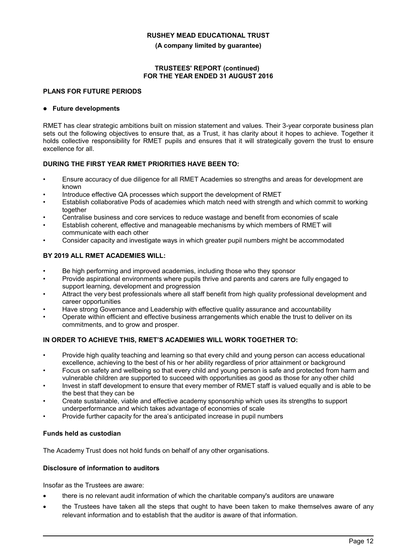**(A company limited by guarantee)**

### **TRUSTEES' REPORT (continued) FOR THE YEAR ENDED 31 AUGUST 2016**

### **PLANS FOR FUTURE PERIODS**

#### **Future developments**

RMET has clear strategic ambitions built on mission statement and values. Their 3-year corporate business plan sets out the following objectives to ensure that, as a Trust, it has clarity about it hopes to achieve. Together it holds collective responsibility for RMET pupils and ensures that it will strategically govern the trust to ensure excellence for all.

#### **DURING THE FIRST YEAR RMET PRIORITIES HAVE BEEN TO:**

- Ensure accuracy of due diligence for all RMET Academies so strengths and areas for development are known
- Introduce effective QA processes which support the development of RMET
- Establish collaborative Pods of academies which match need with strength and which commit to working together
- Centralise business and core services to reduce wastage and benefit from economies of scale
- Establish coherent, effective and manageable mechanisms by which members of RMET will communicate with each other
- Consider capacity and investigate ways in which greater pupil numbers might be accommodated

### **BY 2019 ALL RMET ACADEMIES WILL:**

- Be high performing and improved academies, including those who they sponsor
- Provide aspirational environments where pupils thrive and parents and carers are fully engaged to support learning, development and progression
- Attract the very best professionals where all staff benefit from high quality professional development and career opportunities
- Have strong Governance and Leadership with effective quality assurance and accountability
- Operate within efficient and effective business arrangements which enable the trust to deliver on its commitments, and to grow and prosper.

### **IN ORDER TO ACHIEVE THIS, RMET'S ACADEMIES WILL WORK TOGETHER TO:**

- Provide high quality teaching and learning so that every child and young person can access educational excellence, achieving to the best of his or her ability regardless of prior attainment or background
- Focus on safety and wellbeing so that every child and young person is safe and protected from harm and vulnerable children are supported to succeed with opportunities as good as those for any other child
- Invest in staff development to ensure that every member of RMET staff is valued equally and is able to be the best that they can be
- Create sustainable, viable and effective academy sponsorship which uses its strengths to support underperformance and which takes advantage of economies of scale
- Provide further capacity for the area's anticipated increase in pupil numbers

### **Funds held as custodian**

The Academy Trust does not hold funds on behalf of any other organisations.

### **Disclosure of information to auditors**

Insofar as the Trustees are aware:

- there is no relevant audit information of which the charitable company's auditors are unaware
- the Trustees have taken all the steps that ought to have been taken to make themselves aware of any relevant information and to establish that the auditor is aware of that information.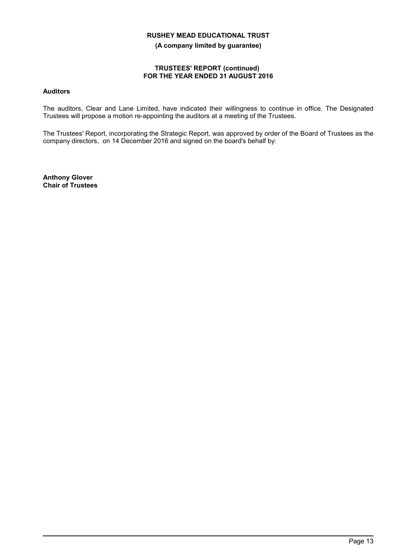**(A company limited by guarantee)**

### **TRUSTEES' REPORT (continued) FOR THE YEAR ENDED 31 AUGUST 2016**

### **Auditors**

The auditors, Clear and Lane Limited, have indicated their willingness to continue in office. The Designated Trustees will propose a motion re-appointing the auditors at a meeting of the Trustees.

The Trustees' Report, incorporating the Strategic Report, was approved by order of the Board of Trustees as the company directors, on 14 December 2016 and signed on the board's behalf by:

**Anthony Glover Chair of Trustees**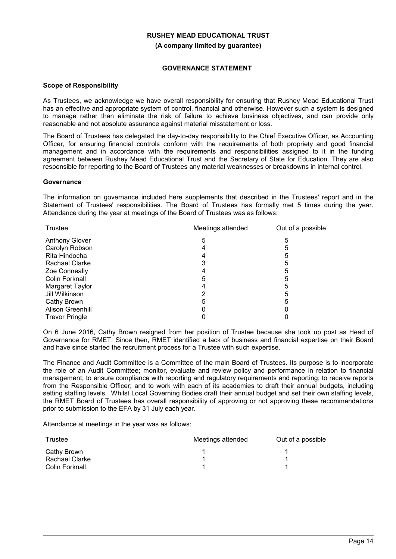**(A company limited by guarantee)**

### **GOVERNANCE STATEMENT**

#### **Scope of Responsibility**

As Trustees, we acknowledge we have overall responsibility for ensuring that Rushey Mead Educational Trust has an effective and appropriate system of control, financial and otherwise. However such a system is designed to manage rather than eliminate the risk of failure to achieve business objectives, and can provide only reasonable and not absolute assurance against material misstatement or loss.

The Board of Trustees has delegated the day-to-day responsibility to the Chief Executive Officer, as Accounting Officer, for ensuring financial controls conform with the requirements of both propriety and good financial management and in accordance with the requirements and responsibilities assigned to it in the funding agreement between Rushey Mead Educational Trust and the Secretary of State for Education. They are also responsible for reporting to the Board of Trustees any material weaknesses or breakdowns in internal control.

#### **Governance**

The information on governance included here supplements that described in the Trustees' report and in the Statement of Trustees' responsibilities. The Board of Trustees has formally met 5 times during the year. Attendance during the year at meetings of the Board of Trustees was as follows:

| <b>Trustee</b>        | Meetings attended | Out of a possible |  |
|-----------------------|-------------------|-------------------|--|
| <b>Anthony Glover</b> | 5                 | 5                 |  |
| Carolyn Robson        | 4                 | 5                 |  |
| Rita Hindocha         |                   | 5                 |  |
| <b>Rachael Clarke</b> |                   | 5                 |  |
| <b>Zoe Conneally</b>  |                   | 5                 |  |
| Colin Forknall        | 5                 | 5                 |  |
| Margaret Taylor       |                   | 5                 |  |
| Jill Wilkinson        |                   | 5                 |  |
| Cathy Brown           | 5                 | 5                 |  |
| Alison Greenhill      |                   |                   |  |
| <b>Trevor Pringle</b> |                   |                   |  |

On 6 June 2016, Cathy Brown resigned from her position of Trustee because she took up post as Head of Governance for RMET. Since then, RMET identified a lack of business and financial expertise on their Board and have since started the recruitment process for a Trustee with such expertise.

The Finance and Audit Committee is a Committee of the main Board of Trustees. Its purpose is to incorporate the role of an Audit Committee; monitor, evaluate and review policy and performance in relation to financial management; to ensure compliance with reporting and regulatory requirements and reporting; to receive reports from the Responsible Officer; and to work with each of its academies to draft their annual budgets, including setting staffing levels. Whilst Local Governing Bodies draft their annual budget and set their own staffing levels, the RMET Board of Trustees has overall responsibility of approving or not approving these recommendations prior to submission to the EFA by 31 July each year.

Attendance at meetings in the year was as follows:

| Trustee        | Meetings attended | Out of a possible |
|----------------|-------------------|-------------------|
| Cathy Brown    |                   |                   |
| Rachael Clarke |                   |                   |
| Colin Forknall |                   |                   |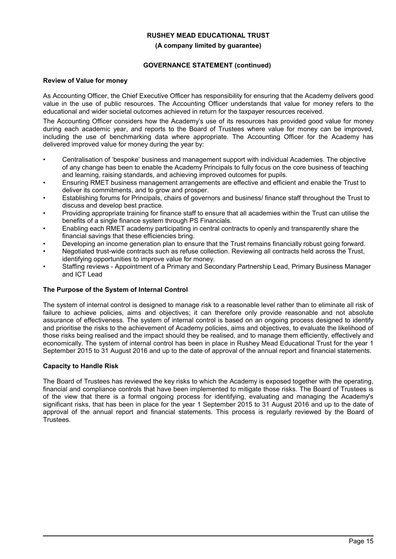#### **(A company limited by guarantee)**

### **GOVERNANCE STATEMENT (continued)**

### **Review of Value for money**

As Accounting Officer, the Chief Executive Officer has responsibility for ensuring that the Academy delivers good value in the use of public resources. The Accounting Officer understands that value for money refers to the educational and wider societal outcomes achieved in return for the taxpayer resources received.

The Accounting Officer considers how the Academy's use of its resources has provided good value for money during each academic year, and reports to the Board of Trustees where value for money can be improved, including the use of benchmarking data where appropriate. The Accounting Officer for the Academy has delivered improved value for money during the year by:

- Centralisation of 'bespoke' business and management support with individual Academies. The objective of any change has been to enable the Academy Principals to fully focus on the core business of teaching and learning, raising standards, and achieving improved outcomes for pupils.
- Ensuring RMET business management arrangements are effective and efficient and enable the Trust to deliver its commitments, and to grow and prosper.
- Establishing forums for Principals, chairs of governors and business/ finance staff throughout the Trust to discuss and develop best practice.
- Providing appropriate training for finance staff to ensure that all academies within the Trust can utilise the benefits of a single finance system through PS Financials.
- Enabling each RMET academy participating in central contracts to openly and transparently share the financial savings that these efficiencies bring.
- Developing an income generation plan to ensure that the Trust remains financially robust going forward.
- Negotiated trust-wide contracts such as refuse collection. Reviewing all contracts held across the Trust, identifying opportunities to improve value for money.
- Staffing reviews Appointment of a Primary and Secondary Partnership Lead, Primary Business Manager and ICT Lead

### **The Purpose of the System of Internal Control**

The system of internal control is designed to manage risk to a reasonable level rather than to eliminate all risk of failure to achieve policies, aims and objectives; it can therefore only provide reasonable and not absolute assurance of effectiveness. The system of internal control is based on an ongoing process designed to identify and prioritise the risks to the achievement of Academy policies, aims and objectives, to evaluate the likelihood of those risks being realised and the impact should they be realised, and to manage them efficiently, effectively and economically. The system of internal control has been in place in Rushey Mead Educational Trust for the year 1 September 2015 to 31 August 2016 and up to the date of approval of the annual report and financial statements.

### **Capacity to Handle Risk**

The Board of Trustees has reviewed the key risks to which the Academy is exposed together with the operating, financial and compliance controls that have been implemented to mitigate those risks. The Board of Trustees is of the view that there is a formal ongoing process for identifying, evaluating and managing the Academy's significant risks, that has been in place for the year 1 September 2015 to 31 August 2016 and up to the date of approval of the annual report and financial statements. This process is regularly reviewed by the Board of Trustees.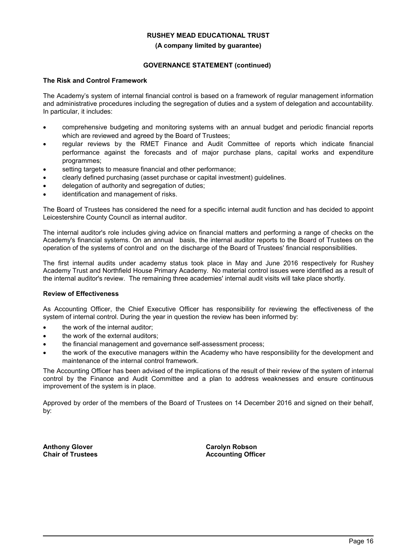#### **(A company limited by guarantee)**

### **GOVERNANCE STATEMENT (continued)**

### **The Risk and Control Framework**

The Academy's system of internal financial control is based on a framework of regular management information and administrative procedures including the segregation of duties and a system of delegation and accountability. In particular, it includes:

- comprehensive budgeting and monitoring systems with an annual budget and periodic financial reports which are reviewed and agreed by the Board of Trustees;
- regular reviews by the RMET Finance and Audit Committee of reports which indicate financial performance against the forecasts and of major purchase plans, capital works and expenditure programmes;
- setting targets to measure financial and other performance;
- clearly defined purchasing (asset purchase or capital investment) guidelines.
- delegation of authority and segregation of duties;
- identification and management of risks.

The Board of Trustees has considered the need for a specific internal audit function and has decided to appoint Leicestershire County Council as internal auditor.

The internal auditor's role includes giving advice on financial matters and performing a range of checks on the Academy's financial systems. On an annual basis, the internal auditor reports to the Board of Trustees on the operation of the systems of control and on the discharge of the Board of Trustees' financial responsibilities.

The first internal audits under academy status took place in May and June 2016 respectively for Rushey Academy Trust and Northfield House Primary Academy. No material control issues were identified as a result of the internal auditor's review. The remaining three academies' internal audit visits will take place shortly.

### **Review of Effectiveness**

As Accounting Officer, the Chief Executive Officer has responsibility for reviewing the effectiveness of the system of internal control. During the year in question the review has been informed by:

- the work of the internal auditor;
- the work of the external auditors;
- the financial management and governance self-assessment process;
- the work of the executive managers within the Academy who have responsibility for the development and maintenance of the internal control framework.

The Accounting Officer has been advised of the implications of the result of their review of the system of internal control by the Finance and Audit Committee and a plan to address weaknesses and ensure continuous improvement of the system is in place.

Approved by order of the members of the Board of Trustees on 14 December 2016 and signed on their behalf, by:

**Anthony Glover Chair of Trustees** **Carolyn Robson Accounting Officer**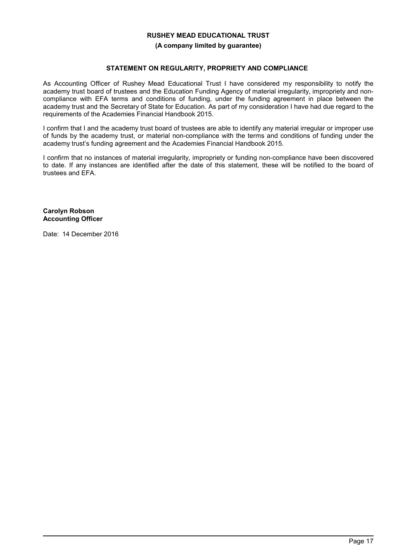#### **(A company limited by guarantee)**

### **STATEMENT ON REGULARITY, PROPRIETY AND COMPLIANCE**

As Accounting Officer of Rushey Mead Educational Trust I have considered my responsibility to notify the academy trust board of trustees and the Education Funding Agency of material irregularity, impropriety and noncompliance with EFA terms and conditions of funding, under the funding agreement in place between the academy trust and the Secretary of State for Education. As part of my consideration I have had due regard to the requirements of the Academies Financial Handbook 2015.

I confirm that I and the academy trust board of trustees are able to identify any material irregular or improper use of funds by the academy trust, or material non-compliance with the terms and conditions of funding under the academy trust's funding agreement and the Academies Financial Handbook 2015.

I confirm that no instances of material irregularity, impropriety or funding non-compliance have been discovered to date. If any instances are identified after the date of this statement, these will be notified to the board of trustees and EFA.

**Carolyn Robson Accounting Officer**

Date: 14 December 2016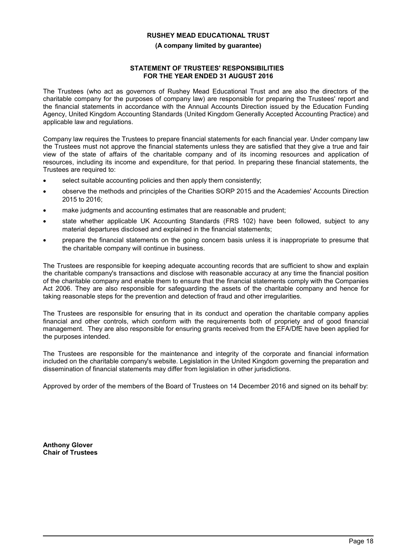#### **(A company limited by guarantee)**

#### **STATEMENT OF TRUSTEES' RESPONSIBILITIES FOR THE YEAR ENDED 31 AUGUST 2016**

The Trustees (who act as governors of Rushey Mead Educational Trust and are also the directors of the charitable company for the purposes of company law) are responsible for preparing the Trustees' report and the financial statements in accordance with the Annual Accounts Direction issued by the Education Funding Agency, United Kingdom Accounting Standards (United Kingdom Generally Accepted Accounting Practice) and applicable law and regulations.

Company law requires the Trustees to prepare financial statements for each financial year. Under company law the Trustees must not approve the financial statements unless they are satisfied that they give a true and fair view of the state of affairs of the charitable company and of its incoming resources and application of resources, including its income and expenditure, for that period. In preparing these financial statements, the Trustees are required to:

- select suitable accounting policies and then apply them consistently;
- observe the methods and principles of the Charities SORP 2015 and the Academies' Accounts Direction 2015 to 2016;
- make judgments and accounting estimates that are reasonable and prudent;
- state whether applicable UK Accounting Standards (FRS 102) have been followed, subject to any material departures disclosed and explained in the financial statements;
- prepare the financial statements on the going concern basis unless it is inappropriate to presume that the charitable company will continue in business.

The Trustees are responsible for keeping adequate accounting records that are sufficient to show and explain the charitable company's transactions and disclose with reasonable accuracy at any time the financial position of the charitable company and enable them to ensure that the financial statements comply with the Companies Act 2006. They are also responsible for safeguarding the assets of the charitable company and hence for taking reasonable steps for the prevention and detection of fraud and other irregularities.

The Trustees are responsible for ensuring that in its conduct and operation the charitable company applies financial and other controls, which conform with the requirements both of propriety and of good financial management. They are also responsible for ensuring grants received from the EFA/DfE have been applied for the purposes intended.

The Trustees are responsible for the maintenance and integrity of the corporate and financial information included on the charitable company's website. Legislation in the United Kingdom governing the preparation and dissemination of financial statements may differ from legislation in other jurisdictions.

Approved by order of the members of the Board of Trustees on 14 December 2016 and signed on its behalf by:

**Anthony Glover Chair of Trustees**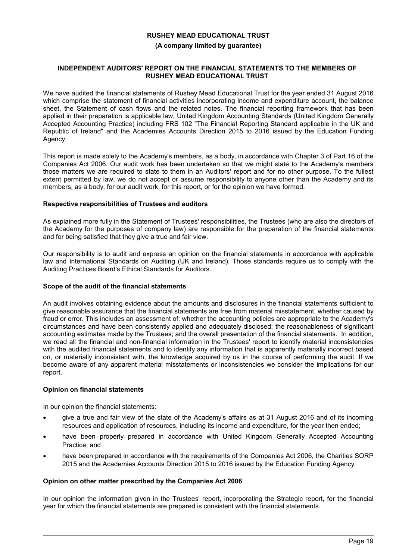#### **(A company limited by guarantee)**

#### **INDEPENDENT AUDITORS' REPORT ON THE FINANCIAL STATEMENTS TO THE MEMBERS OF RUSHEY MEAD EDUCATIONAL TRUST**

We have audited the financial statements of Rushey Mead Educational Trust for the year ended 31 August 2016 which comprise the statement of financial activities incorporating income and expenditure account, the balance sheet, the Statement of cash flows and the related notes. The financial reporting framework that has been applied in their preparation is applicable law, United Kingdom Accounting Standards (United Kingdom Generally Accepted Accounting Practice) including FRS 102 "The Financial Reporting Standard applicable in the UK and Republic of Ireland" and the Academies Accounts Direction 2015 to 2016 issued by the Education Funding Agency.

This report is made solely to the Academy's members, as a body, in accordance with Chapter 3 of Part 16 of the Companies Act 2006. Our audit work has been undertaken so that we might state to the Academy's members those matters we are required to state to them in an Auditors' report and for no other purpose. To the fullest extent permitted by law, we do not accept or assume responsibility to anyone other than the Academy and its members, as a body, for our audit work, for this report, or for the opinion we have formed.

#### **Respective responsibilities of Trustees and auditors**

As explained more fully in the Statement of Trustees' responsibilities, the Trustees (who are also the directors of the Academy for the purposes of company law) are responsible for the preparation of the financial statements and for being satisfied that they give a true and fair view.

Our responsibility is to audit and express an opinion on the financial statements in accordance with applicable law and International Standards on Auditing (UK and Ireland). Those standards require us to comply with the Auditing Practices Board's Ethical Standards for Auditors.

#### **Scope of the audit of the financial statements**

An audit involves obtaining evidence about the amounts and disclosures in the financial statements sufficient to give reasonable assurance that the financial statements are free from material misstatement, whether caused by fraud or error. This includes an assessment of: whether the accounting policies are appropriate to the Academy's circumstances and have been consistently applied and adequately disclosed; the reasonableness of significant accounting estimates made by the Trustees; and the overall presentation of the financial statements. In addition, we read all the financial and non-financial information in the Trustees' report to identify material inconsistencies with the audited financial statements and to identify any information that is apparently materially incorrect based on, or materially inconsistent with, the knowledge acquired by us in the course of performing the audit. If we become aware of any apparent material misstatements or inconsistencies we consider the implications for our report.

#### **Opinion on financial statements**

In our opinion the financial statements:

- give a true and fair view of the state of the Academy's affairs as at 31 August 2016 and of its incoming resources and application of resources, including its income and expenditure, for the year then ended;
- have been properly prepared in accordance with United Kingdom Generally Accepted Accounting Practice; and
- have been prepared in accordance with the requirements of the Companies Act 2006, the Charities SORP 2015 and the Academies Accounts Direction 2015 to 2016 issued by the Education Funding Agency.

### **Opinion on other matter prescribed by the Companies Act 2006**

In our opinion the information given in the Trustees' report, incorporating the Strategic report, for the financial year for which the financial statements are prepared is consistent with the financial statements.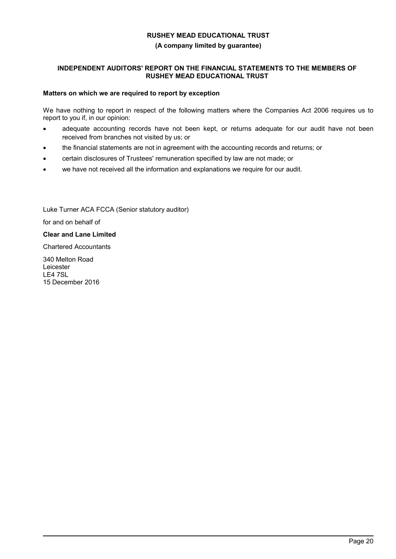#### **(A company limited by guarantee)**

### **INDEPENDENT AUDITORS' REPORT ON THE FINANCIAL STATEMENTS TO THE MEMBERS OF RUSHEY MEAD EDUCATIONAL TRUST**

#### **Matters on which we are required to report by exception**

We have nothing to report in respect of the following matters where the Companies Act 2006 requires us to report to you if, in our opinion:

- adequate accounting records have not been kept, or returns adequate for our audit have not been received from branches not visited by us; or
- the financial statements are not in agreement with the accounting records and returns; or
- certain disclosures of Trustees' remuneration specified by law are not made; or Ī
- we have not received all the information and explanations we require for our audit.

Luke Turner ACA FCCA (Senior statutory auditor)

for and on behalf of

**Clear and Lane Limited**

Chartered Accountants

340 Melton Road Leicester LE4 7SL 15 December 2016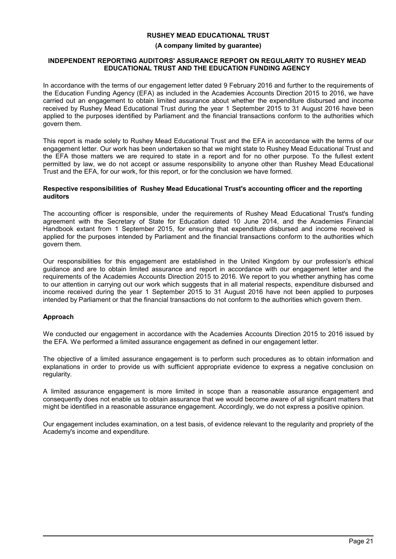#### **(A company limited by guarantee)**

#### **INDEPENDENT REPORTING AUDITORS' ASSURANCE REPORT ON REGULARITY TO RUSHEY MEAD EDUCATIONAL TRUST AND THE EDUCATION FUNDING AGENCY**

In accordance with the terms of our engagement letter dated 9 February 2016 and further to the requirements of the Education Funding Agency (EFA) as included in the Academies Accounts Direction 2015 to 2016, we have carried out an engagement to obtain limited assurance about whether the expenditure disbursed and income received by Rushey Mead Educational Trust during the year 1 September 2015 to 31 August 2016 have been applied to the purposes identified by Parliament and the financial transactions conform to the authorities which govern them.

This report is made solely to Rushey Mead Educational Trust and the EFA in accordance with the terms of our engagement letter. Our work has been undertaken so that we might state to Rushey Mead Educational Trust and the EFA those matters we are required to state in a report and for no other purpose. To the fullest extent permitted by law, we do not accept or assume responsibility to anyone other than Rushey Mead Educational Trust and the EFA, for our work, for this report, or for the conclusion we have formed.

#### **Respective responsibilities of Rushey Mead Educational Trust's accounting officer and the reporting auditors**

The accounting officer is responsible, under the requirements of Rushey Mead Educational Trust's funding agreement with the Secretary of State for Education dated 10 June 2014, and the Academies Financial Handbook extant from 1 September 2015, for ensuring that expenditure disbursed and income received is applied for the purposes intended by Parliament and the financial transactions conform to the authorities which govern them.

Our responsibilities for this engagement are established in the United Kingdom by our profession's ethical guidance and are to obtain limited assurance and report in accordance with our engagement letter and the requirements of the Academies Accounts Direction 2015 to 2016. We report to you whether anything has come to our attention in carrying out our work which suggests that in all material respects, expenditure disbursed and income received during the year 1 September 2015 to 31 August 2016 have not been applied to purposes intended by Parliament or that the financial transactions do not conform to the authorities which govern them.

### **Approach**

We conducted our engagement in accordance with the Academies Accounts Direction 2015 to 2016 issued by the EFA. We performed a limited assurance engagement as defined in our engagement letter.

The objective of a limited assurance engagement is to perform such procedures as to obtain information and explanations in order to provide us with sufficient appropriate evidence to express a negative conclusion on regularity.

A limited assurance engagement is more limited in scope than a reasonable assurance engagement and consequently does not enable us to obtain assurance that we would become aware of all significant matters that might be identified in a reasonable assurance engagement. Accordingly, we do not express a positive opinion.

Our engagement includes examination, on a test basis, of evidence relevant to the regularity and propriety of the Academy's income and expenditure.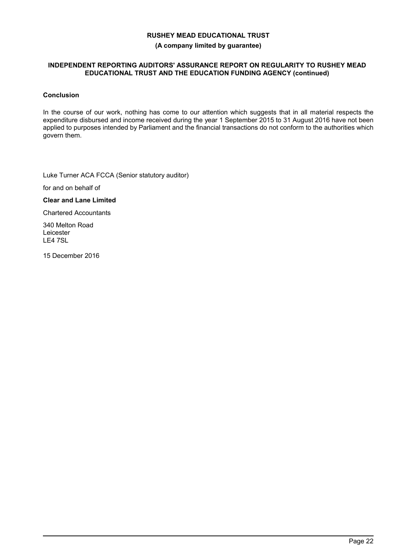#### **(A company limited by guarantee)**

### **INDEPENDENT REPORTING AUDITORS' ASSURANCE REPORT ON REGULARITY TO RUSHEY MEAD EDUCATIONAL TRUST AND THE EDUCATION FUNDING AGENCY (continued)**

### **Conclusion**

In the course of our work, nothing has come to our attention which suggests that in all material respects the expenditure disbursed and income received during the year 1 September 2015 to 31 August 2016 have not been applied to purposes intended by Parliament and the financial transactions do not conform to the authorities which govern them.

Luke Turner ACA FCCA (Senior statutory auditor)

for and on behalf of

### **Clear and Lane Limited**

Chartered Accountants

340 Melton Road Leicester LE4 7SL

15 December 2016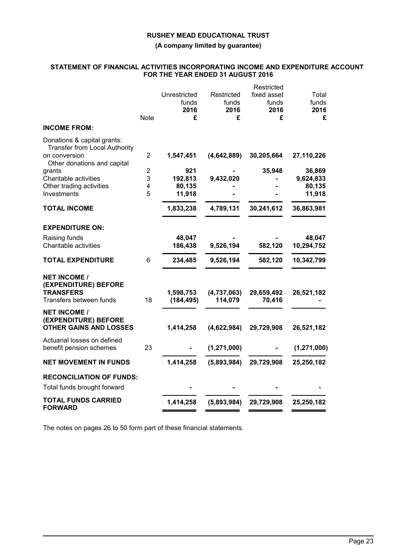**(A company limited by guarantee)**

## **STATEMENT OF FINANCIAL ACTIVITIES INCORPORATING INCOME AND EXPENDITURE ACCOUNT FOR THE YEAR ENDED 31 AUGUST 2016**

|                                                                                                                               | <b>Note</b>                      | Unrestricted<br>funds<br>2016<br>£ | Restricted<br>funds<br>2016<br>£ | Restricted<br>fixed asset<br>funds<br>2016<br>£ | Total<br>funds<br>2016<br>£ |
|-------------------------------------------------------------------------------------------------------------------------------|----------------------------------|------------------------------------|----------------------------------|-------------------------------------------------|-----------------------------|
| <b>INCOME FROM:</b>                                                                                                           |                                  |                                    |                                  |                                                 |                             |
| Donations & capital grants:<br><b>Transfer from Local Authority</b><br>on conversion<br>Other donations and capital<br>grants | $\overline{2}$<br>$\overline{2}$ | 1,547,451<br>921                   | (4,642,889)                      | 30,205,664<br>35,948                            | 27,110,226<br>36,869        |
| Charitable activities                                                                                                         | 3                                | 192,813                            | 9,432,020                        |                                                 | 9,624,833                   |
| Other trading activities<br>Investments                                                                                       | 4<br>5                           | 80,135                             |                                  |                                                 | 80,135                      |
|                                                                                                                               |                                  | 11,918                             |                                  |                                                 | 11,918                      |
| <b>TOTAL INCOME</b>                                                                                                           |                                  | 1,833,238                          | 4,789,131                        | 30,241,612                                      | 36,863,981                  |
| <b>EXPENDITURE ON:</b>                                                                                                        |                                  |                                    |                                  |                                                 |                             |
| Raising funds                                                                                                                 |                                  | 48,047                             |                                  |                                                 | 48,047                      |
| Charitable activities                                                                                                         |                                  | 186,438                            | 9,526,194                        | 582,120                                         | 10,294,752                  |
| <b>TOTAL EXPENDITURE</b>                                                                                                      | 6                                | 234,485                            | 9,526,194                        | 582,120                                         | 10,342,799                  |
| <b>NET INCOME /</b><br>(EXPENDITURE) BEFORE<br><b>TRANSFERS</b><br>Transfers between funds                                    | 18                               | 1,598,753<br>(184, 495)            | (4,737,063)<br>114,079           | 29,659,492<br>70,416                            | 26,521,182                  |
| <b>NET INCOME /</b><br>(EXPENDITURE) BEFORE<br><b>OTHER GAINS AND LOSSES</b>                                                  |                                  | 1,414,258                          | (4,622,984)                      | 29,729,908                                      | 26,521,182                  |
| Actuarial losses on defined<br>benefit pension schemes                                                                        | 23                               |                                    | (1, 271, 000)                    |                                                 | (1, 271, 000)               |
| <b>NET MOVEMENT IN FUNDS</b>                                                                                                  |                                  | 1,414,258                          | (5,893,984)                      | 29,729,908                                      | 25,250,182                  |
| <b>RECONCILIATION OF FUNDS:</b>                                                                                               |                                  |                                    |                                  |                                                 |                             |
| Total funds brought forward                                                                                                   |                                  |                                    |                                  |                                                 |                             |
| <b>TOTAL FUNDS CARRIED</b><br><b>FORWARD</b>                                                                                  |                                  | 1,414,258                          | (5,893,984)                      | 29,729,908                                      | 25,250,182                  |

The notes on pages 26 to 50 form part of these financial statements.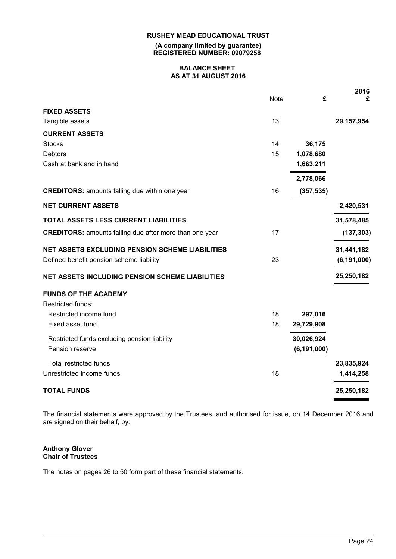**(A company limited by guarantee) REGISTERED NUMBER: 09079258**

#### **BALANCE SHEET AS AT 31 AUGUST 2016**

|                                                                |             |               | 2016          |
|----------------------------------------------------------------|-------------|---------------|---------------|
|                                                                | <b>Note</b> | £             | £             |
| <b>FIXED ASSETS</b>                                            |             |               |               |
| Tangible assets                                                | 13          |               | 29,157,954    |
| <b>CURRENT ASSETS</b>                                          |             |               |               |
| <b>Stocks</b>                                                  | 14          | 36,175        |               |
| <b>Debtors</b>                                                 | 15          | 1,078,680     |               |
| Cash at bank and in hand                                       |             | 1,663,211     |               |
|                                                                |             | 2,778,066     |               |
| <b>CREDITORS:</b> amounts falling due within one year          | 16          | (357, 535)    |               |
| <b>NET CURRENT ASSETS</b>                                      |             |               | 2,420,531     |
| TOTAL ASSETS LESS CURRENT LIABILITIES                          |             |               | 31,578,485    |
| <b>CREDITORS:</b> amounts falling due after more than one year | 17          |               | (137, 303)    |
| <b>NET ASSETS EXCLUDING PENSION SCHEME LIABILITIES</b>         |             |               | 31,441,182    |
| Defined benefit pension scheme liability                       | 23          |               | (6, 191, 000) |
| <b>NET ASSETS INCLUDING PENSION SCHEME LIABILITIES</b>         |             |               | 25,250,182    |
| <b>FUNDS OF THE ACADEMY</b>                                    |             |               |               |
| Restricted funds:                                              |             |               |               |
| Restricted income fund                                         | 18          | 297,016       |               |
| Fixed asset fund                                               | 18          | 29,729,908    |               |
| Restricted funds excluding pension liability                   |             | 30,026,924    |               |
| Pension reserve                                                |             | (6, 191, 000) |               |
| Total restricted funds                                         |             |               | 23,835,924    |
| Unrestricted income funds                                      | 18          |               | 1,414,258     |
| <b>TOTAL FUNDS</b>                                             |             |               | 25,250,182    |

The financial statements were approved by the Trustees, and authorised for issue, on 14 December 2016 and are signed on their behalf, by:

### **Anthony Glover Chair of Trustees**

The notes on pages 26 to 50 form part of these financial statements.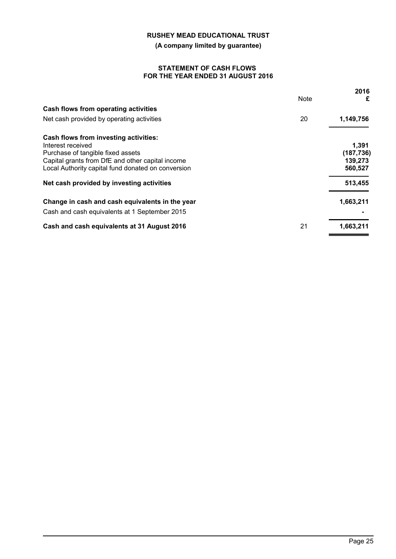**(A company limited by guarantee)**

#### **STATEMENT OF CASH FLOWS FOR THE YEAR ENDED 31 AUGUST 2016**

|                                                    | Note | 2016<br>£  |
|----------------------------------------------------|------|------------|
| Cash flows from operating activities               |      |            |
| Net cash provided by operating activities          | 20   | 1,149,756  |
| Cash flows from investing activities:              |      |            |
| Interest received                                  |      | 1,391      |
| Purchase of tangible fixed assets                  |      | (187, 736) |
| Capital grants from DfE and other capital income   |      | 139,273    |
| Local Authority capital fund donated on conversion |      | 560,527    |
| Net cash provided by investing activities          |      | 513,455    |
| Change in cash and cash equivalents in the year    |      | 1,663,211  |
| Cash and cash equivalents at 1 September 2015      |      |            |
| Cash and cash equivalents at 31 August 2016        | 21   | 1,663,211  |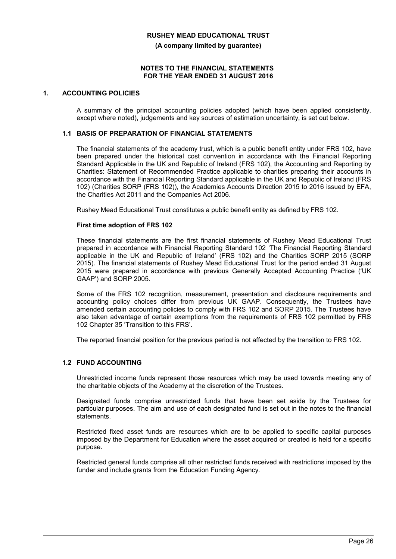**(A company limited by guarantee)**

#### **NOTES TO THE FINANCIAL STATEMENTS FOR THE YEAR ENDED 31 AUGUST 2016**

### **1. ACCOUNTING POLICIES**

A summary of the principal accounting policies adopted (which have been applied consistently, except where noted), judgements and key sources of estimation uncertainty, is set out below.

### **1.1 BASIS OF PREPARATION OF FINANCIAL STATEMENTS**

The financial statements of the academy trust, which is a public benefit entity under FRS 102, have been prepared under the historical cost convention in accordance with the Financial Reporting Standard Applicable in the UK and Republic of Ireland (FRS 102), the Accounting and Reporting by Charities: Statement of Recommended Practice applicable to charities preparing their accounts in accordance with the Financial Reporting Standard applicable in the UK and Republic of Ireland (FRS 102) (Charities SORP (FRS 102)), the Academies Accounts Direction 2015 to 2016 issued by EFA, the Charities Act 2011 and the Companies Act 2006.

Rushey Mead Educational Trust constitutes a public benefit entity as defined by FRS 102.

#### **First time adoption of FRS 102**

These financial statements are the first financial statements of Rushey Mead Educational Trust prepared in accordance with Financial Reporting Standard 102 'The Financial Reporting Standard applicable in the UK and Republic of Ireland' (FRS 102) and the Charities SORP 2015 (SORP 2015). The financial statements of Rushey Mead Educational Trust for the period ended 31 August 2015 were prepared in accordance with previous Generally Accepted Accounting Practice ('UK GAAP') and SORP 2005.

Some of the FRS 102 recognition, measurement, presentation and disclosure requirements and accounting policy choices differ from previous UK GAAP. Consequently, the Trustees have amended certain accounting policies to comply with FRS 102 and SORP 2015. The Trustees have also taken advantage of certain exemptions from the requirements of FRS 102 permitted by FRS 102 Chapter 35 'Transition to this FRS'.

The reported financial position for the previous period is not affected by the transition to FRS 102.

#### **1.2 FUND ACCOUNTING**

Unrestricted income funds represent those resources which may be used towards meeting any of the charitable objects of the Academy at the discretion of the Trustees.

Designated funds comprise unrestricted funds that have been set aside by the Trustees for particular purposes. The aim and use of each designated fund is set out in the notes to the financial **statements** 

Restricted fixed asset funds are resources which are to be applied to specific capital purposes imposed by the Department for Education where the asset acquired or created is held for a specific purpose.

Restricted general funds comprise all other restricted funds received with restrictions imposed by the funder and include grants from the Education Funding Agency.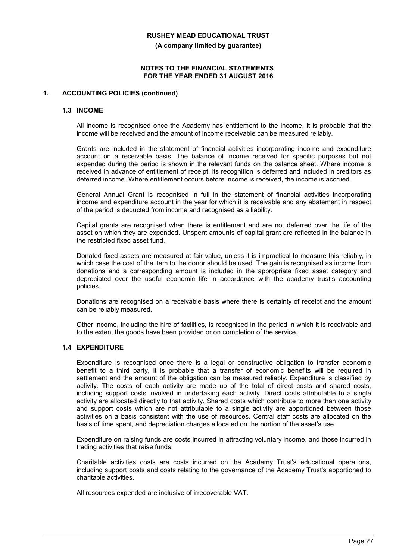**(A company limited by guarantee)**

#### **NOTES TO THE FINANCIAL STATEMENTS FOR THE YEAR ENDED 31 AUGUST 2016**

#### **1. ACCOUNTING POLICIES (continued)**

#### **1.3 INCOME**

All income is recognised once the Academy has entitlement to the income, it is probable that the income will be received and the amount of income receivable can be measured reliably.

Grants are included in the statement of financial activities incorporating income and expenditure account on a receivable basis. The balance of income received for specific purposes but not expended during the period is shown in the relevant funds on the balance sheet. Where income is received in advance of entitlement of receipt, its recognition is deferred and included in creditors as deferred income. Where entitlement occurs before income is received, the income is accrued.

General Annual Grant is recognised in full in the statement of financial activities incorporating income and expenditure account in the year for which it is receivable and any abatement in respect of the period is deducted from income and recognised as a liability.

Capital grants are recognised when there is entitlement and are not deferred over the life of the asset on which they are expended. Unspent amounts of capital grant are reflected in the balance in the restricted fixed asset fund.

Donated fixed assets are measured at fair value, unless it is impractical to measure this reliably, in which case the cost of the item to the donor should be used. The gain is recognised as income from donations and a corresponding amount is included in the appropriate fixed asset category and depreciated over the useful economic life in accordance with the academy trust's accounting policies.

Donations are recognised on a receivable basis where there is certainty of receipt and the amount can be reliably measured.

Other income, including the hire of facilities, is recognised in the period in which it is receivable and to the extent the goods have been provided or on completion of the service.

## **1.4 EXPENDITURE**

Expenditure is recognised once there is a legal or constructive obligation to transfer economic benefit to a third party, it is probable that a transfer of economic benefits will be required in settlement and the amount of the obligation can be measured reliably. Expenditure is classified by activity. The costs of each activity are made up of the total of direct costs and shared costs, including support costs involved in undertaking each activity. Direct costs attributable to a single activity are allocated directly to that activity. Shared costs which contribute to more than one activity and support costs which are not attributable to a single activity are apportioned between those activities on a basis consistent with the use of resources. Central staff costs are allocated on the basis of time spent, and depreciation charges allocated on the portion of the asset's use.

Expenditure on raising funds are costs incurred in attracting voluntary income, and those incurred in trading activities that raise funds.

Charitable activities costs are costs incurred on the Academy Trust's educational operations, including support costs and costs relating to the governance of the Academy Trust's apportioned to charitable activities.

All resources expended are inclusive of irrecoverable VAT.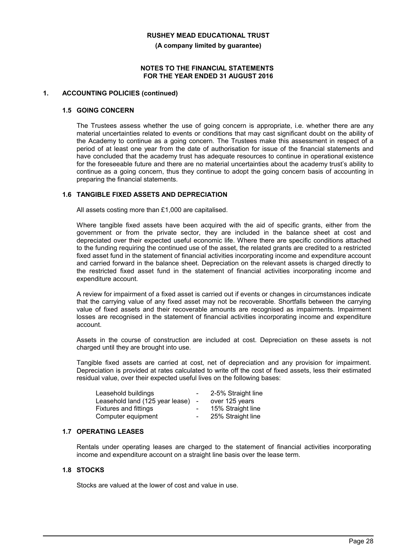**(A company limited by guarantee)**

#### **NOTES TO THE FINANCIAL STATEMENTS FOR THE YEAR ENDED 31 AUGUST 2016**

#### **1. ACCOUNTING POLICIES (continued)**

#### **1.5 GOING CONCERN**

The Trustees assess whether the use of going concern is appropriate, i.e. whether there are any material uncertainties related to events or conditions that may cast significant doubt on the ability of the Academy to continue as a going concern. The Trustees make this assessment in respect of a period of at least one year from the date of authorisation for issue of the financial statements and have concluded that the academy trust has adequate resources to continue in operational existence for the foreseeable future and there are no material uncertainties about the academy trust's ability to continue as a going concern, thus they continue to adopt the going concern basis of accounting in preparing the financial statements.

#### **1.6 TANGIBLE FIXED ASSETS AND DEPRECIATION**

All assets costing more than £1,000 are capitalised.

Where tangible fixed assets have been acquired with the aid of specific grants, either from the government or from the private sector, they are included in the balance sheet at cost and depreciated over their expected useful economic life. Where there are specific conditions attached to the funding requiring the continued use of the asset, the related grants are credited to a restricted fixed asset fund in the statement of financial activities incorporating income and expenditure account and carried forward in the balance sheet. Depreciation on the relevant assets is charged directly to the restricted fixed asset fund in the statement of financial activities incorporating income and expenditure account.

A review for impairment of a fixed asset is carried out if events or changes in circumstances indicate that the carrying value of any fixed asset may not be recoverable. Shortfalls between the carrying value of fixed assets and their recoverable amounts are recognised as impairments. Impairment losses are recognised in the statement of financial activities incorporating income and expenditure account.

Assets in the course of construction are included at cost. Depreciation on these assets is not charged until they are brought into use.

Tangible fixed assets are carried at cost, net of depreciation and any provision for impairment. Depreciation is provided at rates calculated to write off the cost of fixed assets, less their estimated residual value, over their expected useful lives on the following bases:

| Leasehold buildings             | $\sim$ | 2-5% Straight line |
|---------------------------------|--------|--------------------|
| Leasehold land (125 year lease) | $\sim$ | over 125 years     |
| <b>Fixtures and fittings</b>    | $\sim$ | 15% Straight line  |
| Computer equipment              | $\sim$ | 25% Straight line  |

### **1.7 OPERATING LEASES**

Rentals under operating leases are charged to the statement of financial activities incorporating income and expenditure account on a straight line basis over the lease term.

#### **1.8 STOCKS**

Stocks are valued at the lower of cost and value in use.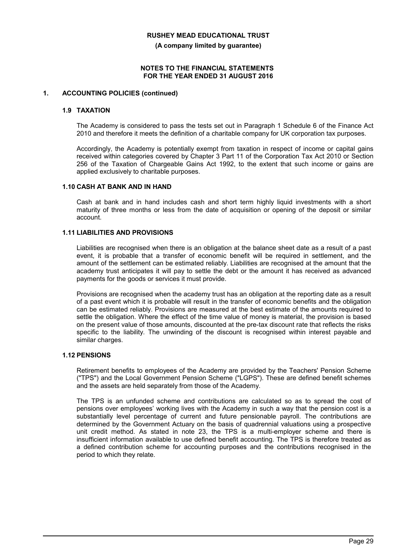**(A company limited by guarantee)**

#### **NOTES TO THE FINANCIAL STATEMENTS FOR THE YEAR ENDED 31 AUGUST 2016**

#### **1. ACCOUNTING POLICIES (continued)**

#### **1.9 TAXATION**

The Academy is considered to pass the tests set out in Paragraph 1 Schedule 6 of the Finance Act 2010 and therefore it meets the definition of a charitable company for UK corporation tax purposes.

Accordingly, the Academy is potentially exempt from taxation in respect of income or capital gains received within categories covered by Chapter 3 Part 11 of the Corporation Tax Act 2010 or Section 256 of the Taxation of Chargeable Gains Act 1992, to the extent that such income or gains are applied exclusively to charitable purposes.

### **1.10 CASH AT BANK AND IN HAND**

Cash at bank and in hand includes cash and short term highly liquid investments with a short maturity of three months or less from the date of acquisition or opening of the deposit or similar account.

### **1.11 LIABILITIES AND PROVISIONS**

Liabilities are recognised when there is an obligation at the balance sheet date as a result of a past event, it is probable that a transfer of economic benefit will be required in settlement, and the amount of the settlement can be estimated reliably. Liabilities are recognised at the amount that the academy trust anticipates it will pay to settle the debt or the amount it has received as advanced payments for the goods or services it must provide.

Provisions are recognised when the academy trust has an obligation at the reporting date as a result of a past event which it is probable will result in the transfer of economic benefits and the obligation can be estimated reliably. Provisions are measured at the best estimate of the amounts required to settle the obligation. Where the effect of the time value of money is material, the provision is based on the present value of those amounts, discounted at the pre-tax discount rate that reflects the risks specific to the liability. The unwinding of the discount is recognised within interest payable and similar charges.

#### **1.12 PENSIONS**

Retirement benefits to employees of the Academy are provided by the Teachers' Pension Scheme ("TPS") and the Local Government Pension Scheme ("LGPS"). These are defined benefit schemes and the assets are held separately from those of the Academy.

The TPS is an unfunded scheme and contributions are calculated so as to spread the cost of pensions over employees' working lives with the Academy in such a way that the pension cost is a substantially level percentage of current and future pensionable payroll. The contributions are determined by the Government Actuary on the basis of quadrennial valuations using a prospective unit credit method. As stated in note 23, the TPS is a multi-employer scheme and there is insufficient information available to use defined benefit accounting. The TPS is therefore treated as a defined contribution scheme for accounting purposes and the contributions recognised in the period to which they relate.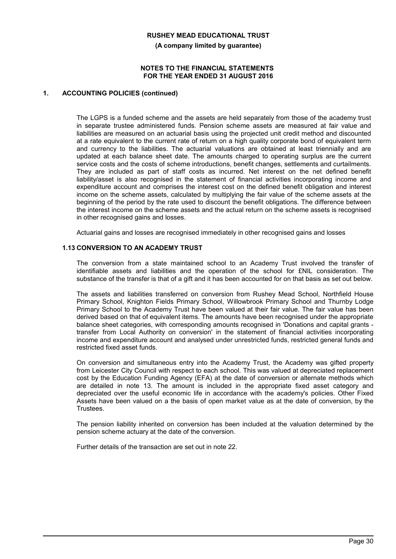**(A company limited by guarantee)**

#### **NOTES TO THE FINANCIAL STATEMENTS FOR THE YEAR ENDED 31 AUGUST 2016**

#### **1. ACCOUNTING POLICIES (continued)**

The LGPS is a funded scheme and the assets are held separately from those of the academy trust in separate trustee administered funds. Pension scheme assets are measured at fair value and liabilities are measured on an actuarial basis using the projected unit credit method and discounted at a rate equivalent to the current rate of return on a high quality corporate bond of equivalent term and currency to the liabilities. The actuarial valuations are obtained at least triennially and are updated at each balance sheet date. The amounts charged to operating surplus are the current service costs and the costs of scheme introductions, benefit changes, settlements and curtailments. They are included as part of staff costs as incurred. Net interest on the net defined benefit liability/asset is also recognised in the statement of financial activities incorporating income and expenditure account and comprises the interest cost on the defined benefit obligation and interest income on the scheme assets, calculated by multiplying the fair value of the scheme assets at the beginning of the period by the rate used to discount the benefit obligations. The difference between the interest income on the scheme assets and the actual return on the scheme assets is recognised in other recognised gains and losses.

Actuarial gains and losses are recognised immediately in other recognised gains and losses

#### **1.13 CONVERSION TO AN ACADEMY TRUST**

The conversion from a state maintained school to an Academy Trust involved the transfer of identifiable assets and liabilities and the operation of the school for £NIL consideration. The substance of the transfer is that of a gift and it has been accounted for on that basis as set out below.

The assets and liabilities transferred on conversion from Rushey Mead School, Northfield House Primary School, Knighton Fields Primary School, Willowbrook Primary School and Thurnby Lodge Primary School to the Academy Trust have been valued at their fair value. The fair value has been derived based on that of equivalent items. The amounts have been recognised under the appropriate balance sheet categories, with corresponding amounts recognised in 'Donations and capital grants transfer from Local Authority on conversion' in the statement of financial activities incorporating income and expenditure account and analysed under unrestricted funds, restricted general funds and restricted fixed asset funds.

On conversion and simultaneous entry into the Academy Trust, the Academy was gifted property from Leicester City Council with respect to each school. This was valued at depreciated replacement cost by the Education Funding Agency (EFA) at the date of conversion or alternate methods which are detailed in note 13. The amount is included in the appropriate fixed asset category and depreciated over the useful economic life in accordance with the academy's policies. Other Fixed Assets have been valued on a the basis of open market value as at the date of conversion, by the Trustees.

The pension liability inherited on conversion has been included at the valuation determined by the pension scheme actuary at the date of the conversion.

Further details of the transaction are set out in note 22.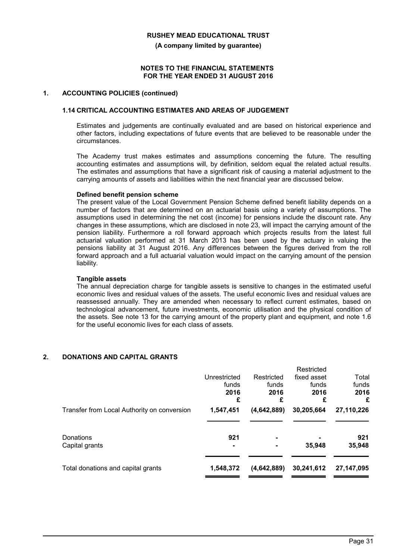**(A company limited by guarantee)**

#### **NOTES TO THE FINANCIAL STATEMENTS FOR THE YEAR ENDED 31 AUGUST 2016**

#### **1. ACCOUNTING POLICIES (continued)**

#### **1.14 CRITICAL ACCOUNTING ESTIMATES AND AREAS OF JUDGEMENT**

Estimates and judgements are continually evaluated and are based on historical experience and other factors, including expectations of future events that are believed to be reasonable under the circumstances.

The Academy trust makes estimates and assumptions concerning the future. The resulting accounting estimates and assumptions will, by definition, seldom equal the related actual results. The estimates and assumptions that have a significant risk of causing a material adjustment to the carrying amounts of assets and liabilities within the next financial year are discussed below.

#### **Defined benefit pension scheme**

The present value of the Local Government Pension Scheme defined benefit liability depends on a number of factors that are determined on an actuarial basis using a variety of assumptions. The assumptions used in determining the net cost (income) for pensions include the discount rate. Any changes in these assumptions, which are disclosed in note 23, will impact the carrying amount of the pension liability. Furthermore a roll forward approach which projects results from the latest full actuarial valuation performed at 31 March 2013 has been used by the actuary in valuing the pensions liability at 31 August 2016. Any differences between the figures derived from the roll forward approach and a full actuarial valuation would impact on the carrying amount of the pension liability.

#### **Tangible assets**

The annual depreciation charge for tangible assets is sensitive to changes in the estimated useful economic lives and residual values of the assets. The useful economic lives and residual values are reassessed annually. They are amended when necessary to reflect current estimates, based on technological advancement, future investments, economic utilisation and the physical condition of the assets. See note 13 for the carrying amount of the property plant and equipment, and note 1.6 for the useful economic lives for each class of assets.

### **2. DONATIONS AND CAPITAL GRANTS**

|                                             | Unrestricted<br>funds<br>2016<br>£ | Restricted<br>funds<br>2016<br>£ | Restricted<br>fixed asset<br>funds<br>2016<br>£ | Total<br>funds<br>2016<br>£ |
|---------------------------------------------|------------------------------------|----------------------------------|-------------------------------------------------|-----------------------------|
| Transfer from Local Authority on conversion | 1,547,451                          | (4,642,889)                      | 30,205,664                                      | 27,110,226                  |
| Donations<br>Capital grants                 | 921                                |                                  | 35,948                                          | 921<br>35,948               |
| Total donations and capital grants          | 1,548,372                          | (4,642,889)                      | 30,241,612                                      | 27,147,095                  |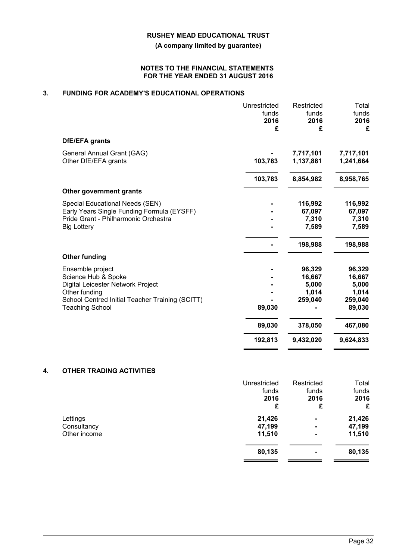### **(A company limited by guarantee)**

#### **NOTES TO THE FINANCIAL STATEMENTS FOR THE YEAR ENDED 31 AUGUST 2016**

## **3. FUNDING FOR ACADEMY'S EDUCATIONAL OPERATIONS**

| DfE/EFA grants<br>7,717,101<br>General Annual Grant (GAG)<br>Other DfE/EFA grants<br>103,783<br>1,137,881<br>103,783<br>8,854,982<br>Other government grants<br>Special Educational Needs (SEN)<br>116,992<br>Early Years Single Funding Formula (EYSFF)<br>67,097<br>Pride Grant - Philharmonic Orchestra<br>7,310<br><b>Big Lottery</b><br>7,589<br>198,988<br><b>Other funding</b><br>Ensemble project<br>96,329<br>Science Hub & Spoke<br>16,667<br>Digital Leicester Network Project<br>5,000<br>1,014<br>Other funding<br>School Centred Initial Teacher Training (SCITT)<br>259,040<br>259,040<br>89,030<br>89,030<br><b>Teaching School</b><br>89,030<br>378,050<br>192,813<br>9,432,020 | Unrestricted<br>funds<br>2016<br>£ | Restricted<br>funds<br>2016<br>£ | Total<br>funds<br>2016<br>£ |
|--------------------------------------------------------------------------------------------------------------------------------------------------------------------------------------------------------------------------------------------------------------------------------------------------------------------------------------------------------------------------------------------------------------------------------------------------------------------------------------------------------------------------------------------------------------------------------------------------------------------------------------------------------------------------------------------------|------------------------------------|----------------------------------|-----------------------------|
|                                                                                                                                                                                                                                                                                                                                                                                                                                                                                                                                                                                                                                                                                                  |                                    |                                  |                             |
|                                                                                                                                                                                                                                                                                                                                                                                                                                                                                                                                                                                                                                                                                                  |                                    |                                  | 7,717,101<br>1,241,664      |
|                                                                                                                                                                                                                                                                                                                                                                                                                                                                                                                                                                                                                                                                                                  |                                    |                                  | 8,958,765                   |
|                                                                                                                                                                                                                                                                                                                                                                                                                                                                                                                                                                                                                                                                                                  |                                    |                                  |                             |
|                                                                                                                                                                                                                                                                                                                                                                                                                                                                                                                                                                                                                                                                                                  |                                    |                                  | 116,992                     |
|                                                                                                                                                                                                                                                                                                                                                                                                                                                                                                                                                                                                                                                                                                  |                                    |                                  | 67,097                      |
|                                                                                                                                                                                                                                                                                                                                                                                                                                                                                                                                                                                                                                                                                                  |                                    |                                  | 7,310                       |
|                                                                                                                                                                                                                                                                                                                                                                                                                                                                                                                                                                                                                                                                                                  |                                    |                                  | 7,589                       |
|                                                                                                                                                                                                                                                                                                                                                                                                                                                                                                                                                                                                                                                                                                  |                                    |                                  | 198,988                     |
|                                                                                                                                                                                                                                                                                                                                                                                                                                                                                                                                                                                                                                                                                                  |                                    |                                  |                             |
|                                                                                                                                                                                                                                                                                                                                                                                                                                                                                                                                                                                                                                                                                                  |                                    |                                  | 96,329                      |
|                                                                                                                                                                                                                                                                                                                                                                                                                                                                                                                                                                                                                                                                                                  |                                    |                                  | 16,667                      |
|                                                                                                                                                                                                                                                                                                                                                                                                                                                                                                                                                                                                                                                                                                  |                                    |                                  | 5,000                       |
|                                                                                                                                                                                                                                                                                                                                                                                                                                                                                                                                                                                                                                                                                                  |                                    |                                  | 1,014                       |
|                                                                                                                                                                                                                                                                                                                                                                                                                                                                                                                                                                                                                                                                                                  |                                    |                                  |                             |
|                                                                                                                                                                                                                                                                                                                                                                                                                                                                                                                                                                                                                                                                                                  |                                    |                                  |                             |
|                                                                                                                                                                                                                                                                                                                                                                                                                                                                                                                                                                                                                                                                                                  |                                    |                                  | 467,080                     |
|                                                                                                                                                                                                                                                                                                                                                                                                                                                                                                                                                                                                                                                                                                  |                                    |                                  | 9,624,833                   |

## **4. OTHER TRADING ACTIVITIES**

|              | Unrestricted | Restricted     | Total  |
|--------------|--------------|----------------|--------|
|              | funds        | funds          | funds  |
|              | 2016         | 2016           | 2016   |
|              | £            | £              | £      |
| Lettings     | 21,426       | $\blacksquare$ | 21,426 |
| Consultancy  | 47,199       | $\blacksquare$ | 47,199 |
| Other income | 11,510       | $\blacksquare$ | 11,510 |
|              | 80,135       | $\blacksquare$ | 80,135 |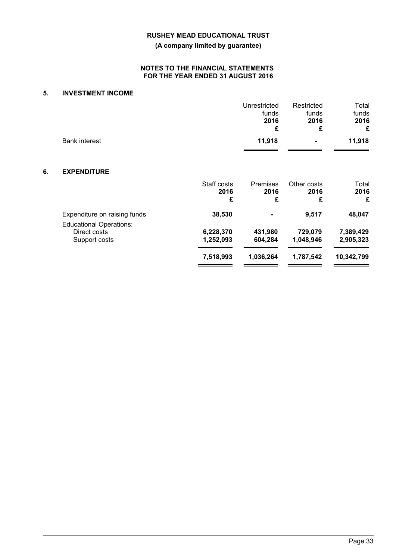**(A company limited by guarantee)**

#### **NOTES TO THE FINANCIAL STATEMENTS FOR THE YEAR ENDED 31 AUGUST 2016**

## **5. INVESTMENT INCOME**

|    |                                                                |                          | Unrestricted<br>funds<br>2016<br>£ | Restricted<br>funds<br>2016<br>£ | Total<br>funds<br>2016<br>£ |
|----|----------------------------------------------------------------|--------------------------|------------------------------------|----------------------------------|-----------------------------|
|    | <b>Bank interest</b>                                           |                          | 11,918                             |                                  | 11,918                      |
| 6. | <b>EXPENDITURE</b>                                             |                          |                                    |                                  |                             |
|    |                                                                | Staff costs<br>2016<br>£ | Premises<br>2016<br>£              | Other costs<br>2016<br>£         | Total<br>2016<br>£          |
|    | Expenditure on raising funds<br><b>Educational Operations:</b> | 38,530                   |                                    | 9,517                            | 48,047                      |
|    | Direct costs                                                   | 6,228,370                | 431,980                            | 729,079                          | 7,389,429                   |
|    | Support costs                                                  | 1,252,093                | 604,284                            | 1,048,946                        | 2,905,323                   |
|    |                                                                | 7,518,993                | 1,036,264                          | 1,787,542                        | 10,342,799                  |
|    |                                                                |                          |                                    |                                  |                             |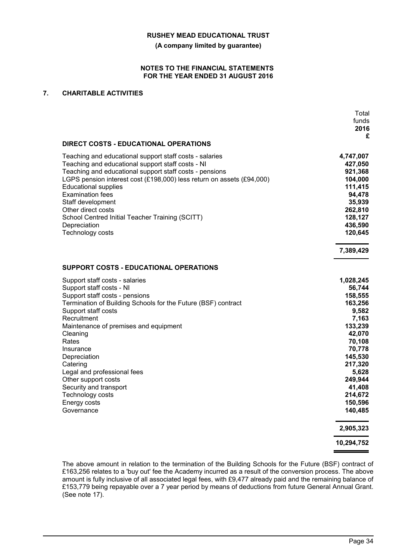**(A company limited by guarantee)**

#### **NOTES TO THE FINANCIAL STATEMENTS FOR THE YEAR ENDED 31 AUGUST 2016**

## **7. CHARITABLE ACTIVITIES**

|                                                                       | Total<br>funds<br>2016<br>£ |
|-----------------------------------------------------------------------|-----------------------------|
| <b>DIRECT COSTS - EDUCATIONAL OPERATIONS</b>                          |                             |
| Teaching and educational support staff costs - salaries               | 4,747,007                   |
| Teaching and educational support staff costs - NI                     | 427,050                     |
| Teaching and educational support staff costs - pensions               | 921,368                     |
| LGPS pension interest cost (£198,000) less return on assets (£94,000) | 104,000                     |
| <b>Educational supplies</b>                                           | 111,415                     |
| <b>Examination fees</b>                                               | 94,478                      |
| Staff development                                                     | 35,939                      |
| Other direct costs                                                    | 262,810                     |
| School Centred Initial Teacher Training (SCITT)                       | 128,127                     |
| Depreciation                                                          | 436,590                     |
| Technology costs                                                      | 120,645                     |
|                                                                       | 7,389,429                   |
| <b>SUPPORT COSTS - EDUCATIONAL OPERATIONS</b>                         |                             |
| Support staff costs - salaries                                        | 1,028,245                   |
| Support staff costs - NI                                              | 56,744                      |
| Support staff costs - pensions                                        | 158,555                     |
| Termination of Building Schools for the Future (BSF) contract         | 163,256                     |
| Support staff costs                                                   | 9,582                       |
| Recruitment                                                           | 7,163                       |
| Maintenance of premises and equipment                                 | 133,239                     |
| Cleaning                                                              | 42,070                      |
| Rates                                                                 | 70,108                      |
| Insurance                                                             | 70,778                      |
| Depreciation                                                          | 145,530                     |
| Catering                                                              | 217,320                     |
| Legal and professional fees                                           | 5,628                       |
| Other support costs                                                   | 249,944                     |
| Security and transport                                                | 41,408<br>214,672           |
| Technology costs<br>Energy costs                                      | 150,596                     |
| Governance                                                            | 140,485                     |
|                                                                       | 2,905,323                   |
|                                                                       |                             |
|                                                                       | 10,294,752                  |

The above amount in relation to the termination of the Building Schools for the Future (BSF) contract of £163,256 relates to a 'buy out' fee the Academy incurred as a result of the conversion process. The above amount is fully inclusive of all associated legal fees, with £9,477 already paid and the remaining balance of £153,779 being repayable over a 7 year period by means of deductions from future General Annual Grant. (See note 17).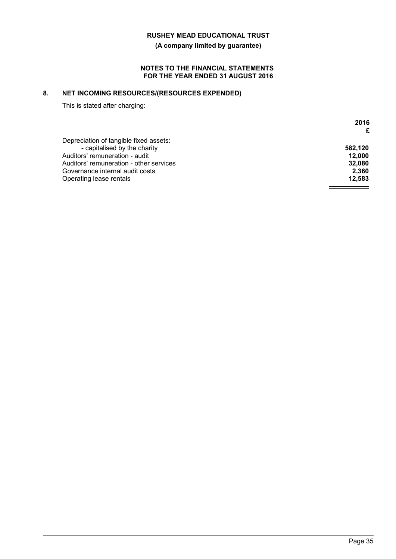**(A company limited by guarantee)**

#### **NOTES TO THE FINANCIAL STATEMENTS FOR THE YEAR ENDED 31 AUGUST 2016**

# **8. NET INCOMING RESOURCES/(RESOURCES EXPENDED)**

This is stated after charging:

|                                         | 2016    |
|-----------------------------------------|---------|
|                                         | £       |
| Depreciation of tangible fixed assets:  |         |
| - capitalised by the charity            | 582.120 |
| Auditors' remuneration - audit          | 12.000  |
| Auditors' remuneration - other services | 32.080  |
| Governance internal audit costs         | 2.360   |
| Operating lease rentals                 | 12.583  |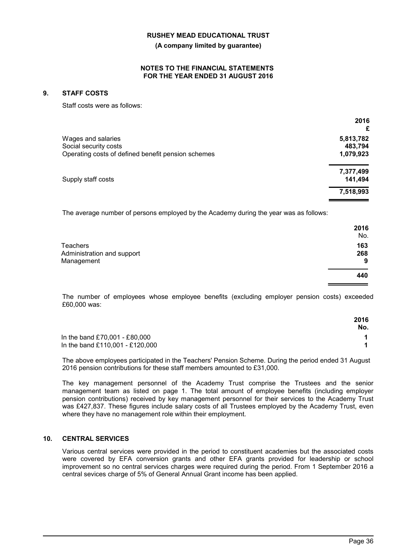**(A company limited by guarantee)**

#### **NOTES TO THE FINANCIAL STATEMENTS FOR THE YEAR ENDED 31 AUGUST 2016**

### **9. STAFF COSTS**

Staff costs were as follows:

|                                                    | 2016<br>£ |
|----------------------------------------------------|-----------|
| Wages and salaries                                 | 5,813,782 |
| Social security costs                              | 483,794   |
| Operating costs of defined benefit pension schemes | 1,079,923 |
|                                                    | 7,377,499 |
| Supply staff costs                                 | 141,494   |
|                                                    | 7,518,993 |

The average number of persons employed by the Academy during the year was as follows:

|                                                      | 2016<br>No.     |
|------------------------------------------------------|-----------------|
| Teachers<br>Administration and support<br>Management | 163<br>268<br>9 |
|                                                      | 440             |

The number of employees whose employee benefits (excluding employer pension costs) exceeded £60,000 was:

|                                 | 2016<br>No. |
|---------------------------------|-------------|
| In the band £70,001 - £80,000   |             |
| In the band £110,001 - £120,000 |             |

The above employees participated in the Teachers' Pension Scheme. During the period ended 31 August 2016 pension contributions for these staff members amounted to £31,000.

The key management personnel of the Academy Trust comprise the Trustees and the senior management team as listed on page 1. The total amount of employee benefits (including employer pension contributions) received by key management personnel for their services to the Academy Trust was £427,837. These figures include salary costs of all Trustees employed by the Academy Trust, even where they have no management role within their employment.

### **10. CENTRAL SERVICES**

Various central services were provided in the period to constituent academies but the associated costs were covered by EFA conversion grants and other EFA grants provided for leadership or school improvement so no central services charges were required during the period. From 1 September 2016 a central sevices charge of 5% of General Annual Grant income has been applied.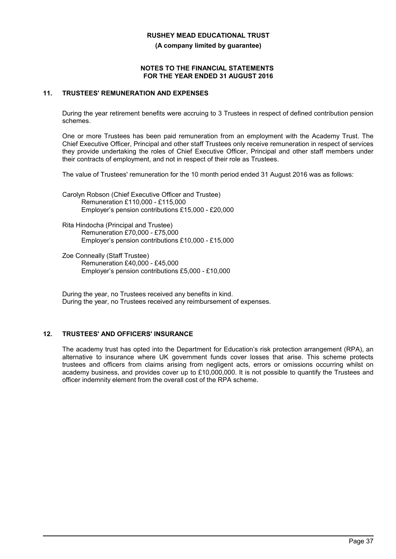**(A company limited by guarantee)**

#### **NOTES TO THE FINANCIAL STATEMENTS FOR THE YEAR ENDED 31 AUGUST 2016**

## **11. TRUSTEES' REMUNERATION AND EXPENSES**

During the year retirement benefits were accruing to 3 Trustees in respect of defined contribution pension schemes.

One or more Trustees has been paid remuneration from an employment with the Academy Trust. The Chief Executive Officer, Principal and other staff Trustees only receive remuneration in respect of services they provide undertaking the roles of Chief Executive Officer, Principal and other staff members under their contracts of employment, and not in respect of their role as Trustees.

The value of Trustees' remuneration for the 10 month period ended 31 August 2016 was as follows:

Carolyn Robson (Chief Executive Officer and Trustee) Remuneration £110,000 - £115,000 Employer's pension contributions £15,000 - £20,000

Rita Hindocha (Principal and Trustee) Remuneration £70,000 - £75,000 Employer's pension contributions £10,000 - £15,000

Zoe Conneally (Staff Trustee) Remuneration £40,000 - £45,000 Employer's pension contributions £5,000 - £10,000

During the year, no Trustees received any benefits in kind. During the year, no Trustees received any reimbursement of expenses.

### **12. TRUSTEES' AND OFFICERS' INSURANCE**

The academy trust has opted into the Department for Education's risk protection arrangement (RPA), an alternative to insurance where UK government funds cover losses that arise. This scheme protects trustees and officers from claims arising from negligent acts, errors or omissions occurring whilst on academy business, and provides cover up to £10,000,000. It is not possible to quantify the Trustees and officer indemnity element from the overall cost of the RPA scheme.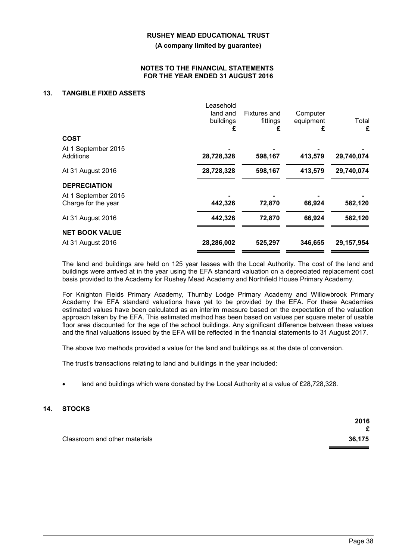**(A company limited by guarantee)**

#### **NOTES TO THE FINANCIAL STATEMENTS FOR THE YEAR ENDED 31 AUGUST 2016**

### **13. TANGIBLE FIXED ASSETS**

|                                  | Leasehold<br>land and<br>buildings<br>£ | <b>Fixtures and</b><br>fittings<br>£ | Computer<br>equipment<br>£ | Total<br>£ |
|----------------------------------|-----------------------------------------|--------------------------------------|----------------------------|------------|
| <b>COST</b>                      |                                         |                                      |                            |            |
| At 1 September 2015<br>Additions | 28,728,328                              | 598,167                              | 413,579                    | 29,740,074 |
| At 31 August 2016                | 28,728,328                              | 598,167                              | 413,579                    | 29,740,074 |
| <b>DEPRECIATION</b>              |                                         |                                      |                            |            |
| At 1 September 2015              |                                         |                                      |                            |            |
| Charge for the year              | 442,326                                 | 72,870                               | 66,924                     | 582,120    |
| At 31 August 2016                | 442,326                                 | 72,870                               | 66,924                     | 582,120    |
| <b>NET BOOK VALUE</b>            |                                         |                                      |                            |            |
| At 31 August 2016                | 28,286,002                              | 525,297                              | 346,655                    | 29,157,954 |

The land and buildings are held on 125 year leases with the Local Authority. The cost of the land and buildings were arrived at in the year using the EFA standard valuation on a depreciated replacement cost basis provided to the Academy for Rushey Mead Academy and Northfield House Primary Academy.

For Knighton Fields Primary Academy, Thurnby Lodge Primary Academy and Willowbrook Primary Academy the EFA standard valuations have yet to be provided by the EFA. For these Academies estimated values have been calculated as an interim measure based on the expectation of the valuation approach taken by the EFA. This estimated method has been based on values per square meter of usable floor area discounted for the age of the school buildings. Any significant difference between these values and the final valuations issued by the EFA will be reflected in the financial statements to 31 August 2017.

The above two methods provided a value for the land and buildings as at the date of conversion.

The trust's transactions relating to land and buildings in the year included:

land and buildings which were donated by the Local Authority at a value of £28,728,328.

### **14. STOCKS**

|                               | 2016   |
|-------------------------------|--------|
|                               | £      |
| Classroom and other materials | 36,175 |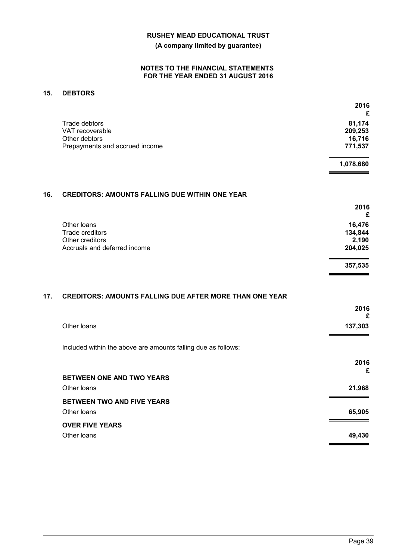### **(A company limited by guarantee)**

#### **NOTES TO THE FINANCIAL STATEMENTS FOR THE YEAR ENDED 31 AUGUST 2016**

## **15. DEBTORS**

|                                | 2016<br>£ |
|--------------------------------|-----------|
| Trade debtors                  | 81,174    |
| VAT recoverable                | 209,253   |
| Other debtors                  | 16,716    |
| Prepayments and accrued income | 771,537   |
|                                | 1,078,680 |

## **16. CREDITORS: AMOUNTS FALLING DUE WITHIN ONE YEAR**

|                              | 2016<br>£ |
|------------------------------|-----------|
| Other loans                  | 16,476    |
| Trade creditors              | 134,844   |
| Other creditors              | 2,190     |
| Accruals and deferred income | 204,025   |
|                              | 357,535   |

## **17. CREDITORS: AMOUNTS FALLING DUE AFTER MORE THAN ONE YEAR**

|                                                               | 2016<br>£ |
|---------------------------------------------------------------|-----------|
| Other Ioans                                                   | 137,303   |
| Included within the above are amounts falling due as follows: |           |
|                                                               | 2016<br>£ |
| <b>BETWEEN ONE AND TWO YEARS</b>                              |           |
| Other Ioans                                                   | 21,968    |
| BETWEEN TWO AND FIVE YEARS                                    |           |
| Other Ioans                                                   | 65,905    |
| <b>OVER FIVE YEARS</b>                                        |           |
| Other Ioans                                                   | 49,430    |
|                                                               |           |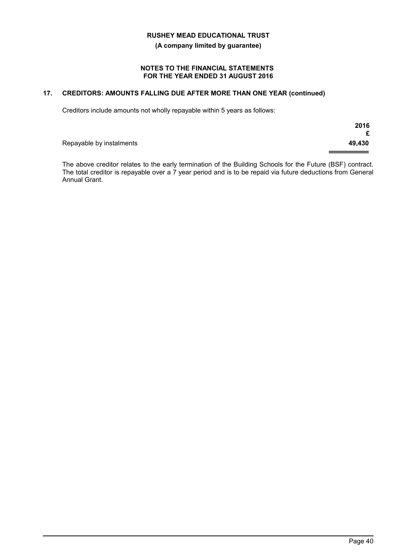**(A company limited by guarantee)**

#### **NOTES TO THE FINANCIAL STATEMENTS FOR THE YEAR ENDED 31 AUGUST 2016**

# **17. CREDITORS: AMOUNTS FALLING DUE AFTER MORE THAN ONE YEAR (continued)**

Creditors include amounts not wholly repayable within 5 years as follows:

|                          | 2016<br>£ |
|--------------------------|-----------|
| Repayable by instalments | 49,430    |

The above creditor relates to the early termination of the Building Schools for the Future (BSF) contract. The total creditor is repayable over a  $7$  year period and is to be repaid via future deductions from General Annual Grant.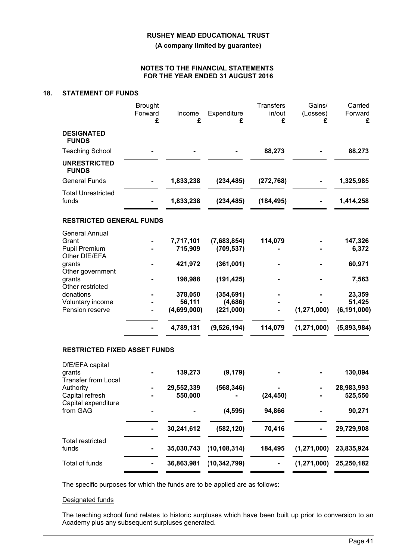**(A company limited by guarantee)**

#### **NOTES TO THE FINANCIAL STATEMENTS FOR THE YEAR ENDED 31 AUGUST 2016**

## **18. STATEMENT OF FUNDS**

|                                                                         | <b>Brought</b><br>Forward<br>£ | Income<br>£           | Expenditure<br>£          | <b>Transfers</b><br>in/out<br>£ | Gains/<br>(Losses)<br>£ | Carried<br>Forward<br>£ |
|-------------------------------------------------------------------------|--------------------------------|-----------------------|---------------------------|---------------------------------|-------------------------|-------------------------|
| <b>DESIGNATED</b><br><b>FUNDS</b>                                       |                                |                       |                           |                                 |                         |                         |
| <b>Teaching School</b>                                                  |                                |                       |                           | 88,273                          |                         | 88,273                  |
| <b>UNRESTRICTED</b><br><b>FUNDS</b>                                     |                                |                       |                           |                                 |                         |                         |
| <b>General Funds</b>                                                    |                                | 1,833,238             | (234, 485)                | (272, 768)                      |                         | 1,325,985               |
| <b>Total Unrestricted</b><br>funds                                      |                                | 1,833,238             | (234, 485)                | (184, 495)                      |                         | 1,414,258               |
| <b>RESTRICTED GENERAL FUNDS</b>                                         |                                |                       |                           |                                 |                         |                         |
| <b>General Annual</b><br>Grant<br><b>Pupil Premium</b><br>Other DfE/EFA |                                | 7,717,101<br>715,909  | (7,683,854)<br>(709, 537) | 114,079                         |                         | 147,326<br>6,372        |
| grants                                                                  |                                | 421,972               | (361,001)                 |                                 |                         | 60,971                  |
| Other government<br>grants<br>Other restricted                          |                                | 198,988               | (191, 425)                |                                 |                         | 7,563                   |
| donations                                                               |                                | 378,050               | (354, 691)                |                                 |                         | 23,359                  |
| Voluntary income<br>Pension reserve                                     |                                | 56,111<br>(4,699,000) | (4,686)<br>(221,000)      |                                 | (1, 271, 000)           | 51,425<br>(6, 191, 000) |
|                                                                         |                                | 4,789,131             | (9,526,194)               | 114,079                         | (1, 271, 000)           | (5,893,984)             |
| <b>RESTRICTED FIXED ASSET FUNDS</b>                                     |                                |                       |                           |                                 |                         |                         |
| DfE/EFA capital<br>grants<br><b>Transfer from Local</b>                 |                                | 139,273               | (9, 179)                  |                                 |                         | 130,094                 |
| Authority                                                               |                                | 29,552,339            | (568, 346)                |                                 |                         | 28,983,993              |
| Capital refresh<br>Capital expenditure                                  |                                | 550,000               |                           | (24, 450)                       |                         | 525,550                 |
| from GAG                                                                |                                |                       | (4, 595)                  | 94,866                          |                         | 90,271                  |
|                                                                         | ۰                              | 30,241,612            | (582, 120)                | 70,416                          |                         | 29,729,908              |
| <b>Total restricted</b><br>funds                                        |                                | 35,030,743            | (10, 108, 314)            | 184,495                         | (1, 271, 000)           | 23,835,924              |
| Total of funds                                                          |                                | 36,863,981            | (10, 342, 799)            |                                 | (1, 271, 000)           | 25,250,182              |

The specific purposes for which the funds are to be applied are as follows:

#### Designated funds

The teaching school fund relates to historic surpluses which have been built up prior to conversion to an Academy plus any subsequent surpluses generated.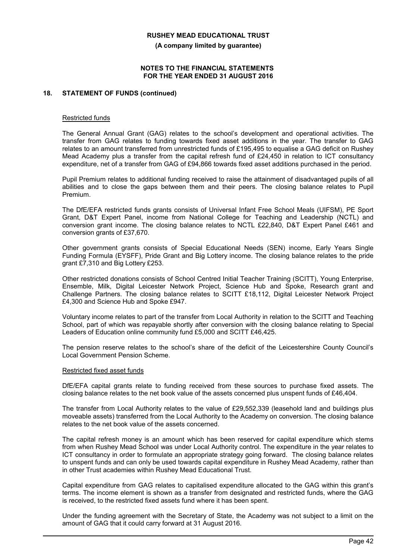**(A company limited by guarantee)**

#### **NOTES TO THE FINANCIAL STATEMENTS FOR THE YEAR ENDED 31 AUGUST 2016**

#### **18. STATEMENT OF FUNDS (continued)**

#### Restricted funds

The General Annual Grant (GAG) relates to the school's development and operational activities. The transfer from GAG relates to funding towards fixed asset additions in the year. The transfer to GAG relates to an amount transferred from unrestricted funds of £195,495 to equalise a GAG deficit on Rushey Mead Academy plus a transfer from the capital refresh fund of £24,450 in relation to ICT consultancy expenditure, net of a transfer from GAG of £94,866 towards fixed asset additions purchased in the period.

Pupil Premium relates to additional funding received to raise the attainment of disadvantaged pupils of all abilities and to close the gaps between them and their peers. The closing balance relates to Pupil Premium.

The DfE/EFA restricted funds grants consists of Universal Infant Free School Meals (UIFSM), PE Sport Grant, D&T Expert Panel, income from National College for Teaching and Leadership (NCTL) and conversion grant income. The closing balance relates to NCTL £22,840, D&T Expert Panel £461 and conversion grants of £37,670.

Other government grants consists of Special Educational Needs (SEN) income, Early Years Single Funding Formula (EYSFF), Pride Grant and Big Lottery income. The closing balance relates to the pride grant £7,310 and Big Lottery £253.

Other restricted donations consists of School Centred Initial Teacher Training (SCITT), Young Enterprise, Ensemble, Milk, Digital Leicester Network Project, Science Hub and Spoke, Research grant and Challenge Partners. The closing balance relates to SCITT £18,112, Digital Leicester Network Project £4,300 and Science Hub and Spoke £947.

Voluntary income relates to part of the transfer from Local Authority in relation to the SCITT and Teaching School, part of which was repayable shortly after conversion with the closing balance relating to Special Leaders of Education online community fund £5,000 and SCITT £46,425.

The pension reserve relates to the school's share of the deficit of the Leicestershire County Council's Local Government Pension Scheme.

#### Restricted fixed asset funds

DfE/EFA capital grants relate to funding received from these sources to purchase fixed assets. The closing balance relates to the net book value of the assets concerned plus unspent funds of £46,404.

The transfer from Local Authority relates to the value of £29,552,339 (leasehold land and buildings plus moveable assets) transferred from the Local Authority to the Academy on conversion. The closing balance relates to the net book value of the assets concerned.

The capital refresh money is an amount which has been reserved for capital expenditure which stems from when Rushey Mead School was under Local Authority control. The expenditure in the year relates to ICT consultancy in order to formulate an appropriate strategy going forward. The closing balance relates to unspent funds and can only be used towards capital expenditure in Rushey Mead Academy, rather than in other Trust academies within Rushey Mead Educational Trust.

Capital expenditure from GAG relates to capitalised expenditure allocated to the GAG within this grant's terms. The income element is shown as a transfer from designated and restricted funds, where the GAG is received, to the restricted fixed assets fund where it has been spent.

Under the funding agreement with the Secretary of State, the Academy was not subject to a limit on the amount of GAG that it could carry forward at 31 August 2016.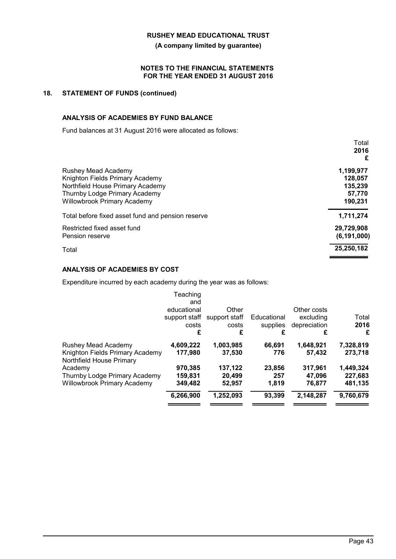**(A company limited by guarantee)**

#### **NOTES TO THE FINANCIAL STATEMENTS FOR THE YEAR ENDED 31 AUGUST 2016**

## **18. STATEMENT OF FUNDS (continued)**

## **ANALYSIS OF ACADEMIES BY FUND BALANCE**

Fund balances at 31 August 2016 were allocated as follows:

|                                                   | Total         |
|---------------------------------------------------|---------------|
|                                                   | 2016<br>£     |
| Rushey Mead Academy                               | 1,199,977     |
| Knighton Fields Primary Academy                   | 128,057       |
| Northfield House Primary Academy                  | 135,239       |
| Thurnby Lodge Primary Academy                     | 57,770        |
| <b>Willowbrook Primary Academy</b>                | 190,231       |
| Total before fixed asset fund and pension reserve | 1,711,274     |
| Restricted fixed asset fund                       | 29,729,908    |
| Pension reserve                                   | (6, 191, 000) |
| Total                                             | 25,250,182    |

### **ANALYSIS OF ACADEMIES BY COST**

Expenditure incurred by each academy during the year was as follows:

| Teaching      |               |             |              |           |
|---------------|---------------|-------------|--------------|-----------|
| and           |               |             |              |           |
| educational   | Other         |             | Other costs  |           |
| support staff | support staff | Educational | excluding    | Total     |
| costs         | costs         | supplies    | depreciation | 2016      |
| £             | £             | £           | £            | £         |
| 4,609,222     | 1,003,985     | 66.691      | 1,648,921    | 7,328,819 |
| 177,980       | 37.530        | 776         | 57,432       | 273,718   |
| 970,385       | 137,122       | 23,856      | 317,961      | 1,449,324 |
| 159,831       | 20.499        | 257         | 47.096       | 227,683   |
| 349,482       | 52,957        | 1,819       | 76,877       | 481,135   |
| 6,266,900     | 1,252,093     | 93,399      | 2,148,287    | 9,760,679 |
|               |               |             |              |           |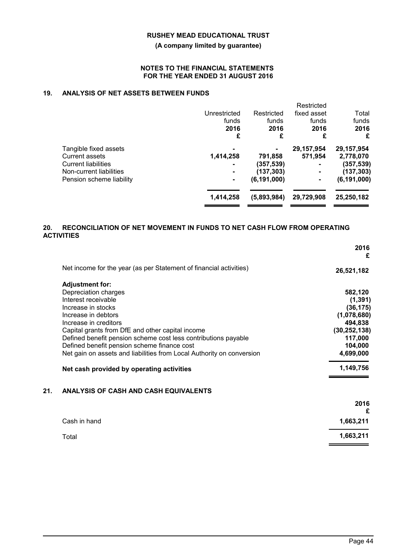### **(A company limited by guarantee)**

#### **NOTES TO THE FINANCIAL STATEMENTS FOR THE YEAR ENDED 31 AUGUST 2016**

# **19. ANALYSIS OF NET ASSETS BETWEEN FUNDS**

|                                                                                                  | Unrestricted<br>funds<br>2016<br>£ | Restricted<br>funds<br>2016<br>£   | Restricted<br>fixed asset<br>funds<br>2016<br>£           | Total<br>funds<br>2016<br>£                         |
|--------------------------------------------------------------------------------------------------|------------------------------------|------------------------------------|-----------------------------------------------------------|-----------------------------------------------------|
| Tangible fixed assets<br>Current assets<br><b>Current liabilities</b><br>Non-current liabilities | 1,414,258                          | 791,858<br>(357,539)<br>(137, 303) | 29,157,954<br>571,954<br>$\blacksquare$<br>$\blacksquare$ | 29,157,954<br>2,778,070<br>(357, 539)<br>(137, 303) |
| Pension scheme liability                                                                         | 1,414,258                          | (6, 191, 000)<br>(5,893,984)       | 29,729,908                                                | (6, 191, 000)<br>25,250,182                         |

### **20. RECONCILIATION OF NET MOVEMENT IN FUNDS TO NET CASH FLOW FROM OPERATING ACTIVITIES**

|     |                                                                       | 2016<br>£      |
|-----|-----------------------------------------------------------------------|----------------|
|     | Net income for the year (as per Statement of financial activities)    | 26,521,182     |
|     | <b>Adjustment for:</b>                                                |                |
|     | Depreciation charges                                                  | 582,120        |
|     | Interest receivable                                                   | (1, 391)       |
|     | Increase in stocks                                                    | (36, 175)      |
|     | Increase in debtors                                                   | (1,078,680)    |
|     | Increase in creditors                                                 | 494,838        |
|     | Capital grants from DfE and other capital income                      | (30, 252, 138) |
|     | Defined benefit pension scheme cost less contributions payable        | 117,000        |
|     | Defined benefit pension scheme finance cost                           | 104,000        |
|     | Net gain on assets and liabilities from Local Authority on conversion | 4,699,000      |
|     | Net cash provided by operating activities                             | 1,149,756      |
| 21. | ANALYSIS OF CASH AND CASH EQUIVALENTS                                 |                |
|     |                                                                       | 2016<br>£      |
|     |                                                                       |                |
|     | Cash in hand                                                          | 1,663,211      |
|     | Total                                                                 | 1,663,211      |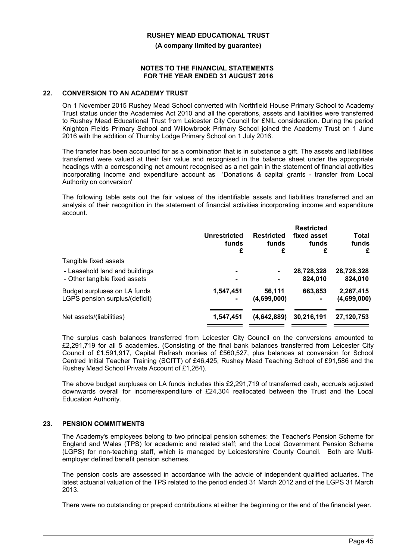**(A company limited by guarantee)**

#### **NOTES TO THE FINANCIAL STATEMENTS FOR THE YEAR ENDED 31 AUGUST 2016**

#### **22. CONVERSION TO AN ACADEMY TRUST**

On 1 November 2015 Rushey Mead School converted with Northfield House Primary School to Academy Trust status under the Academies Act 2010 and all the operations, assets and liabilities were transferred to Rushey Mead Educational Trust from Leicester City Council for £NIL consideration. During the period Knighton Fields Primary School and Willowbrook Primary School joined the Academy Trust on 1 June 2016 with the addition of Thurnby Lodge Primary School on 1 July 2016.

The transfer has been accounted for as a combination that is in substance a gift. The assets and liabilities transferred were valued at their fair value and recognised in the balance sheet under the appropriate headings with a corresponding net amount recognised as a net gain in the statement of financial activities incorporating income and expenditure account as 'Donations & capital grants - transfer from Local Authority on conversion'

The following table sets out the fair values of the identifiable assets and liabilities transferred and an analysis of their recognition in the statement of financial activities incorporating income and expenditure account.

|                                | Unrestricted<br>funds<br>£ | <b>Restricted</b><br>funds<br>£ | <b>Restricted</b><br>fixed asset<br>funds<br>£ | Total<br>funds<br>£ |
|--------------------------------|----------------------------|---------------------------------|------------------------------------------------|---------------------|
| Tangible fixed assets          |                            |                                 |                                                |                     |
| - Leasehold land and buildings | ۰                          | $\blacksquare$                  | 28,728,328                                     | 28,728,328          |
| - Other tangible fixed assets  |                            | $\blacksquare$                  | 824,010                                        | 824,010             |
| Budget surpluses on LA funds   | 1,547,451                  | 56,111                          | 663,853                                        | 2,267,415           |
| LGPS pension surplus/(deficit) | $\blacksquare$             | (4,699,000)                     | $\blacksquare$                                 | (4,699,000)         |
|                                |                            |                                 |                                                |                     |
| Net assets/(liabilities)       | 1,547,451                  | (4,642,889)                     | 30,216,191                                     | 27,120,753          |
|                                |                            |                                 |                                                |                     |

The surplus cash balances transferred from Leicester City Council on the conversions amounted to £2,291,719 for all 5 academies. (Consisting of the final bank balances transferred from Leicester City Council of £1,591,917, Capital Refresh monies of £560,527, plus balances at conversion for School Centred Initial Teacher Training (SCITT) of £46,425, Rushey Mead Teaching School of £91,586 and the Rushey Mead School Private Account of £1,264).

The above budget surpluses on LA funds includes this £2,291,719 of transferred cash, accruals adjusted downwards overall for income/expenditure of £24,304 reallocated between the Trust and the Local Education Authority.

### **23. PENSION COMMITMENTS**

The Academy's employees belong to two principal pension schemes: the Teacher's Pension Scheme for England and Wales (TPS) for academic and related staff; and the Local Government Pension Scheme (LGPS) for non-teaching staff, which is managed by Leicestershire County Council. Both are Multiemployer defined benefit pension schemes.

The pension costs are assessed in accordance with the advcie of independent qualified actuaries. The latest actuarial valuation of the TPS related to the period ended 31 March 2012 and of the LGPS 31 March 2013.

There were no outstanding or prepaid contributions at either the beginning or the end of the financial year.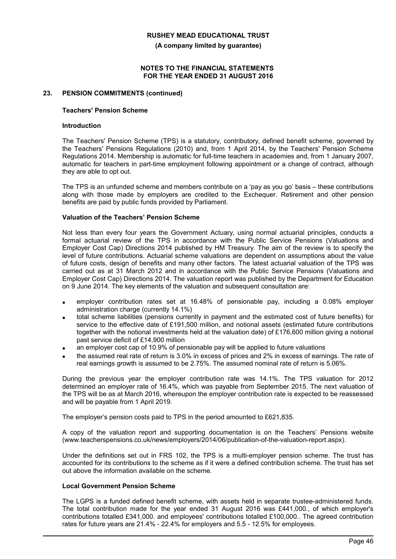**(A company limited by guarantee)**

#### **NOTES TO THE FINANCIAL STATEMENTS FOR THE YEAR ENDED 31 AUGUST 2016**

### **23. PENSION COMMITMENTS (continued)**

#### **Teachers' Pension Scheme**

#### **Introduction**

The Teachers' Pension Scheme (TPS) is a statutory, contributory, defined benefit scheme, governed by the Teachers' Pensions Regulations (2010) and, from 1 April 2014, by the Teachers' Pension Scheme Regulations 2014. Membership is automatic for full-time teachers in academies and, from 1 January 2007, automatic for teachers in part-time employment following appointment or a change of contract, although they are able to opt out.

The TPS is an unfunded scheme and members contribute on a 'pay as you go' basis – these contributions along with those made by employers are credited to the Exchequer. Retirement and other pension benefits are paid by public funds provided by Parliament.

#### **Valuation of the Teachers' Pension Scheme**

Not less than every four years the Government Actuary, using normal actuarial principles, conducts a formal actuarial review of the TPS in accordance with the Public Service Pensions (Valuations and Employer Cost Cap) Directions 2014 published by HM Treasury. The aim of the review is to specify the level of future contributions. Actuarial scheme valuations are dependent on assumptions about the value of future costs, design of benefits and many other factors. The latest actuarial valuation of the TPS was carried out as at 31 March 2012 and in accordance with the Public Service Pensions (Valuations and Employer Cost Cap) Directions 2014. The valuation report was published by the Department for Education on 9 June 2014. The key elements of the valuation and subsequent consultation are:

- employer contribution rates set at 16.48% of pensionable pay, including a 0.08% employer administration charge (currently 14.1%)
- total scheme liabilities (pensions currently in payment and the estimated cost of future benefits) for service to the effective date of £191,500 million, and notional assets (estimated future contributions together with the notional investments held at the valuation date) of £176,600 million giving a notional past service deficit of £14,900 million
- an employer cost cap of 10.9% of pensionable pay will be applied to future valuations
- the assumed real rate of return is 3.0% in excess of prices and 2% in excess of earnings. The rate of real earnings growth is assumed to be 2.75%. The assumed nominal rate of return is 5.06%.

During the previous year the employer contribution rate was 14.1%. The TPS valuation for 2012 determined an employer rate of 16.4%, which was payable from September 2015. The next valuation of the TPS will be as at March 2016, whereupon the employer contribution rate is expected to be reassessed and will be payable from 1 April 2019.

The employer's pension costs paid to TPS in the period amounted to £621,835*.*

A copy of the valuation report and supporting documentation is on the Teachers' Pensions website (www.teacherspensions.co.uk/news/employers/2014/06/publication-of-the-valuation-report.aspx).

Under the definitions set out in FRS 102, the TPS is a multi-employer pension scheme. The trust has accounted for its contributions to the scheme as if it were a defined contribution scheme. The trust has set out above the information available on the scheme.

#### **Local Government Pension Scheme**

The LGPS is a funded defined benefit scheme, with assets held in separate trustee-administered funds. The total contribution made for the year ended 31 August 2016 was £441,000*.*, of which employer's contributions totalled £341,000*.* and employees' contributions totalled £100,000*.*. The agreed contribution rates for future years are 21.4% - 22.4% for employers and 5.5 - 12.5% for employees.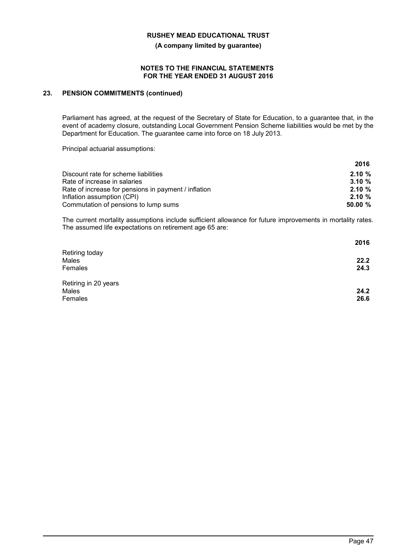**(A company limited by guarantee)**

#### **NOTES TO THE FINANCIAL STATEMENTS FOR THE YEAR ENDED 31 AUGUST 2016**

### **23. PENSION COMMITMENTS (continued)**

Parliament has agreed, at the request of the Secretary of State for Education, to a guarantee that, in the event of academy closure, outstanding Local Government Pension Scheme liabilities would be met by the Department for Education. The guarantee came into force on 18 July 2013.

Principal actuarial assumptions:

|                                                      | 2016       |
|------------------------------------------------------|------------|
| Discount rate for scheme liabilities                 | $2.10 \%$  |
| Rate of increase in salaries                         | $3.10 \%$  |
| Rate of increase for pensions in payment / inflation | $2.10 \%$  |
| Inflation assumption (CPI)                           | $2.10 \%$  |
| Commutation of pensions to lump sums                 | $50.00 \%$ |

The current mortality assumptions include sufficient allowance for future improvements in mortality rates. The assumed life expectations on retirement age 65 are:

|                      | 2016 |
|----------------------|------|
| Retiring today       |      |
| Males                | 22.2 |
| Females              | 24.3 |
| Retiring in 20 years |      |
| Males                | 24.2 |
| Females              | 26.6 |
|                      |      |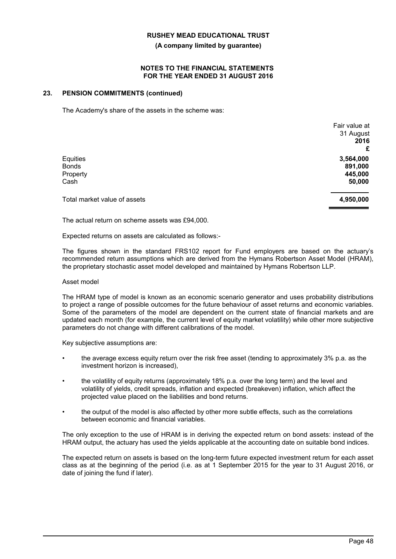#### **(A company limited by guarantee)**

#### **NOTES TO THE FINANCIAL STATEMENTS FOR THE YEAR ENDED 31 AUGUST 2016**

#### **23. PENSION COMMITMENTS (continued)**

The Academy's share of the assets in the scheme was:

|                              | Fair value at |
|------------------------------|---------------|
|                              | 31 August     |
|                              | 2016          |
|                              | £             |
| Equities                     | 3,564,000     |
| <b>Bonds</b>                 | 891,000       |
| Property                     | 445,000       |
| Cash                         | 50,000        |
| Total market value of assets | 4,950,000     |
|                              |               |

The actual return on scheme assets was £94,000*.*

Expected returns on assets are calculated as follows:-

The figures shown in the standard FRS102 report for Fund employers are based on the actuary's recommended return assumptions which are derived from the Hymans Robertson Asset Model (HRAM), the proprietary stochastic asset model developed and maintained by Hymans Robertson LLP.

#### Asset model

The HRAM type of model is known as an economic scenario generator and uses probability distributions to project a range of possible outcomes for the future behaviour of asset returns and economic variables. Some of the parameters of the model are dependent on the current state of financial markets and are updated each month (for example, the current level of equity market volatility) while other more subjective parameters do not change with different calibrations of the model.

Key subjective assumptions are:

- the average excess equity return over the risk free asset (tending to approximately 3% p.a. as the investment horizon is increased),
- the volatility of equity returns (approximately 18% p.a. over the long term) and the level and volatility of yields, credit spreads, inflation and expected (breakeven) inflation, which affect the projected value placed on the liabilities and bond returns.
- the output of the model is also affected by other more subtle effects, such as the correlations between economic and financial variables.

The only exception to the use of HRAM is in deriving the expected return on bond assets: instead of the HRAM output, the actuary has used the yields applicable at the accounting date on suitable bond indices.

The expected return on assets is based on the long-term future expected investment return for each asset class as at the beginning of the period (i.e. as at 1 September 2015 for the year to 31 August 2016, or date of joining the fund if later).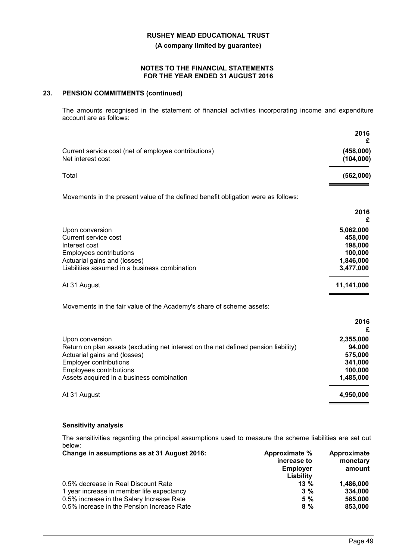**(A company limited by guarantee)**

#### **NOTES TO THE FINANCIAL STATEMENTS FOR THE YEAR ENDED 31 AUGUST 2016**

## **23. PENSION COMMITMENTS (continued)**

The amounts recognised in the statement of financial activities incorporating income and expenditure account are as follows:

|                                                                                                                                                                                                                                                 | 2016<br>£                                                            |
|-------------------------------------------------------------------------------------------------------------------------------------------------------------------------------------------------------------------------------------------------|----------------------------------------------------------------------|
| Current service cost (net of employee contributions)<br>Net interest cost                                                                                                                                                                       | (458,000)<br>(104, 000)                                              |
| Total                                                                                                                                                                                                                                           | (562,000)                                                            |
| Movements in the present value of the defined benefit obligation were as follows:                                                                                                                                                               |                                                                      |
|                                                                                                                                                                                                                                                 | 2016<br>£                                                            |
| Upon conversion<br>Current service cost<br>Interest cost<br><b>Employees contributions</b><br>Actuarial gains and (losses)<br>Liabilities assumed in a business combination                                                                     | 5,062,000<br>458,000<br>198,000<br>100,000<br>1,846,000<br>3,477,000 |
| At 31 August                                                                                                                                                                                                                                    | 11,141,000                                                           |
| Movements in the fair value of the Academy's share of scheme assets:                                                                                                                                                                            |                                                                      |
|                                                                                                                                                                                                                                                 | 2016<br>£                                                            |
| Upon conversion<br>Return on plan assets (excluding net interest on the net defined pension liability)<br>Actuarial gains and (losses)<br><b>Employer contributions</b><br>Employees contributions<br>Assets acquired in a business combination | 2,355,000<br>94,000<br>575,000<br>341,000<br>100,000<br>1,485,000    |
| At 31 August                                                                                                                                                                                                                                    | 4,950,000                                                            |

## **Sensitivity analysis**

The sensitivities regarding the principal assumptions used to measure the scheme liabilities are set out below:

| Change in assumptions as at 31 August 2016: | Approximate %<br>increase to<br><b>Employer</b><br>Liability | Approximate<br>monetary<br>amount |
|---------------------------------------------|--------------------------------------------------------------|-----------------------------------|
| 0.5% decrease in Real Discount Rate         | $13\%$                                                       | 1.486.000                         |
| 1 year increase in member life expectancy   | $3\%$                                                        | 334.000                           |
| 0.5% increase in the Salary Increase Rate   | 5%                                                           | 585,000                           |
| 0.5% increase in the Pension Increase Rate  | 8%                                                           | 853,000                           |